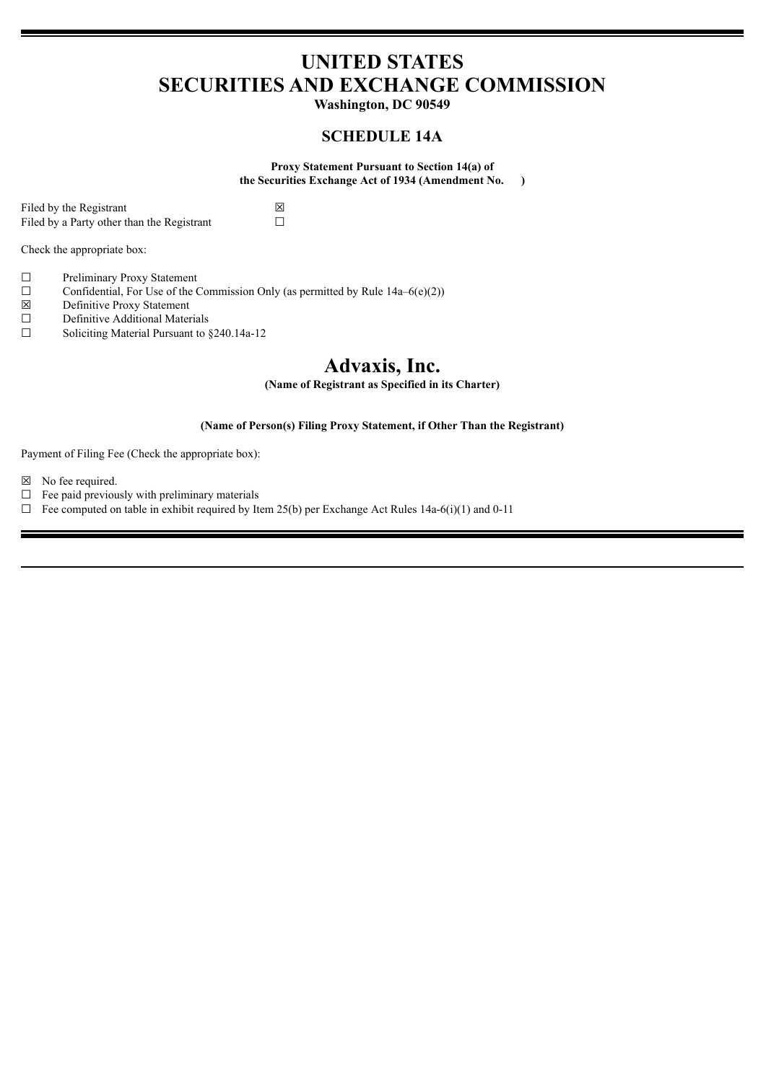# **UNITED STATES SECURITIES AND EXCHANGE COMMISSION**

**Washington, DC 90549**

# **SCHEDULE 14A**

**Proxy Statement Pursuant to Section 14(a) of the Securities Exchange Act of 1934 (Amendment No. )**

Filed by the Registrant  $\boxtimes$ <br>Filed by a Party other than the Registrant  $\Box$ Filed by a Party other than the Registrant

Check the appropriate box:

- ☐ Preliminary Proxy Statement
- □ Confidential, For Use of the Commission Only (as permitted by Rule  $14a-6(e)(2)$ )<br>
□ Definitive Proxy Statement
- $\boxtimes$  Definitive Proxy Statement<br>
Definitive Additional Mater
- Definitive Additional Materials
- ☐ Soliciting Material Pursuant to §240.14a-12

# **Advaxis, Inc.**

**(Name of Registrant as Specified in its Charter)**

# **(Name of Person(s) Filing Proxy Statement, if Other Than the Registrant)**

Payment of Filing Fee (Check the appropriate box):

☒ No fee required.

- $\Box$  Fee paid previously with preliminary materials
- $\Box$  Fee computed on table in exhibit required by Item 25(b) per Exchange Act Rules 14a-6(i)(1) and 0-11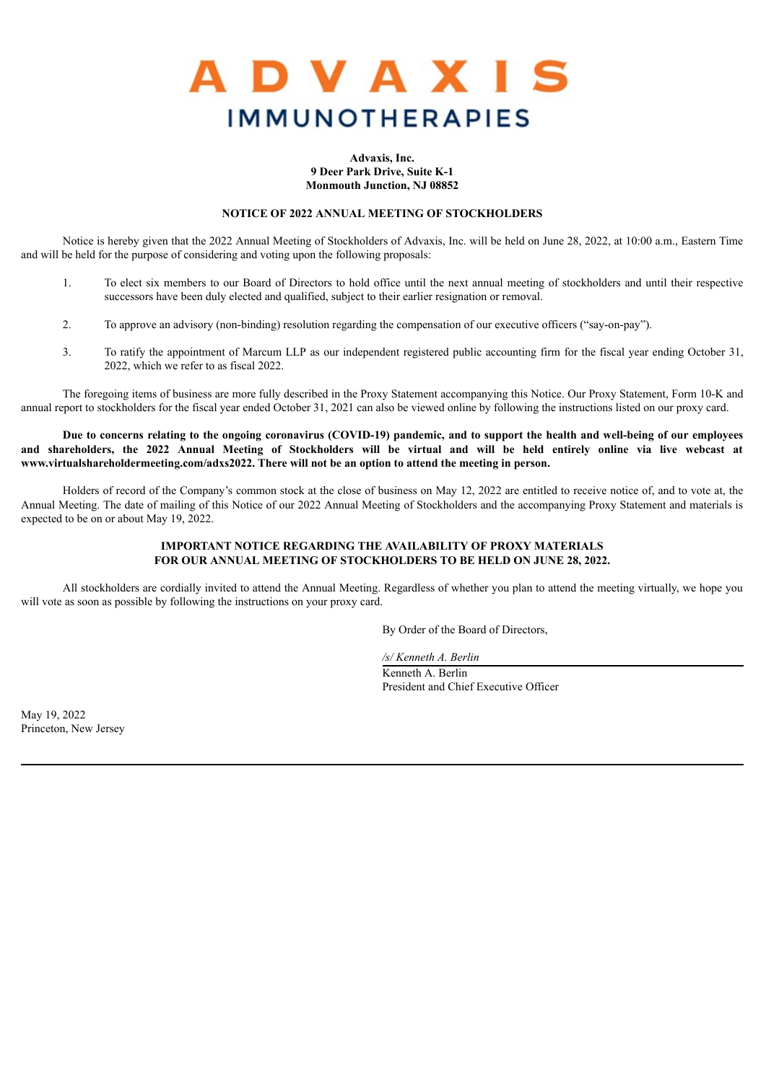

#### **Advaxis, Inc. 9 Deer Park Drive, Suite K-1 Monmouth Junction, NJ 08852**

### **NOTICE OF 2022 ANNUAL MEETING OF STOCKHOLDERS**

Notice is hereby given that the 2022 Annual Meeting of Stockholders of Advaxis, Inc. will be held on June 28, 2022, at 10:00 a.m., Eastern Time and will be held for the purpose of considering and voting upon the following proposals:

- 1. To elect six members to our Board of Directors to hold office until the next annual meeting of stockholders and until their respective successors have been duly elected and qualified, subject to their earlier resignation or removal.
- 2. To approve an advisory (non-binding) resolution regarding the compensation of our executive officers ("say-on-pay").
- 3. To ratify the appointment of Marcum LLP as our independent registered public accounting firm for the fiscal year ending October 31, 2022, which we refer to as fiscal 2022.

The foregoing items of business are more fully described in the Proxy Statement accompanying this Notice. Our Proxy Statement, Form 10-K and annual report to stockholders for the fiscal year ended October 31, 2021 can also be viewed online by following the instructions listed on our proxy card.

Due to concerns relating to the ongoing coronavirus (COVID-19) pandemic, and to support the health and well-being of our employees and shareholders, the 2022 Annual Meeting of Stockholders will be virtual and will be held entirely online via live webcast at **www.virtualshareholdermeeting.com/adxs2022. There will not be an option to attend the meeting in person.**

Holders of record of the Company's common stock at the close of business on May 12, 2022 are entitled to receive notice of, and to vote at, the Annual Meeting. The date of mailing of this Notice of our 2022 Annual Meeting of Stockholders and the accompanying Proxy Statement and materials is expected to be on or about May 19, 2022.

# **IMPORTANT NOTICE REGARDING THE AVAILABILITY OF PROXY MATERIALS FOR OUR ANNUAL MEETING OF STOCKHOLDERS TO BE HELD ON JUNE 28, 2022.**

All stockholders are cordially invited to attend the Annual Meeting. Regardless of whether you plan to attend the meeting virtually, we hope you will vote as soon as possible by following the instructions on your proxy card.

By Order of the Board of Directors,

*/s/ Kenneth A. Berlin*

Kenneth A. Berlin President and Chief Executive Officer

May 19, 2022 Princeton, New Jersey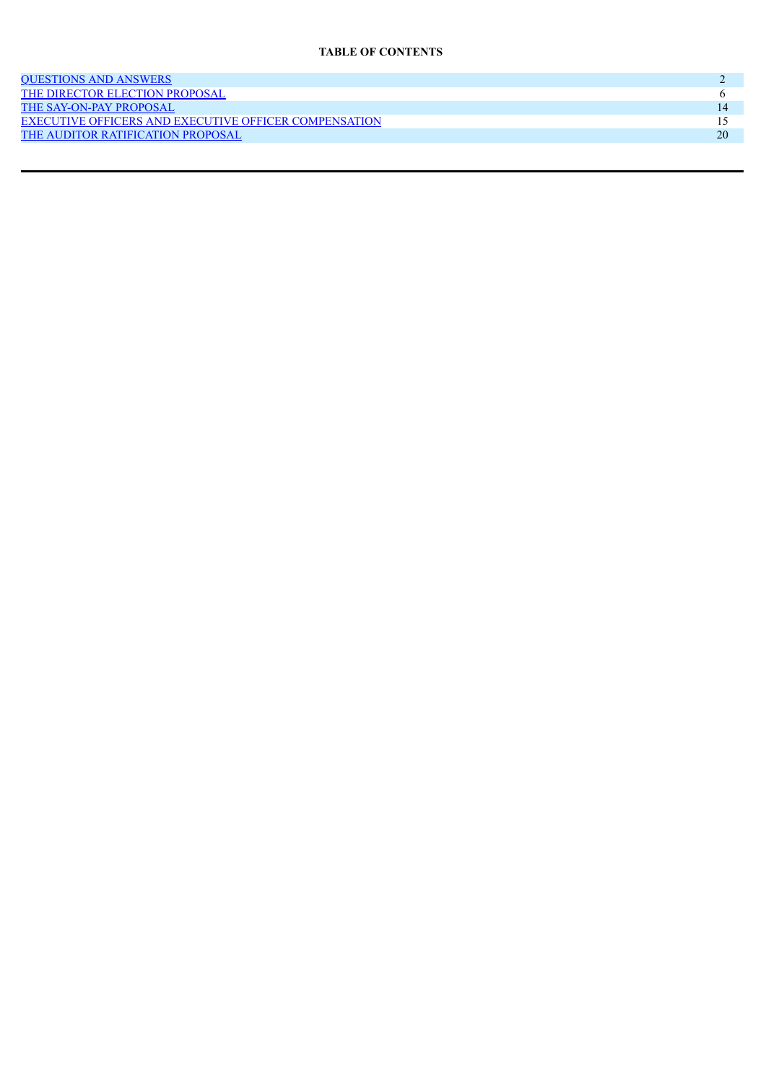# **TABLE OF CONTENTS**

| <b>OUESTIONS AND ANSWERS</b>                                 |    |
|--------------------------------------------------------------|----|
| THE DIRECTOR ELECTION PROPOSAL                               |    |
| THE SAY-ON-PAY PROPOSAL                                      |    |
| <b>EXECUTIVE OFFICERS AND EXECUTIVE OFFICER COMPENSATION</b> |    |
| THE AUDITOR RATIFICATION PROPOSAL                            | 20 |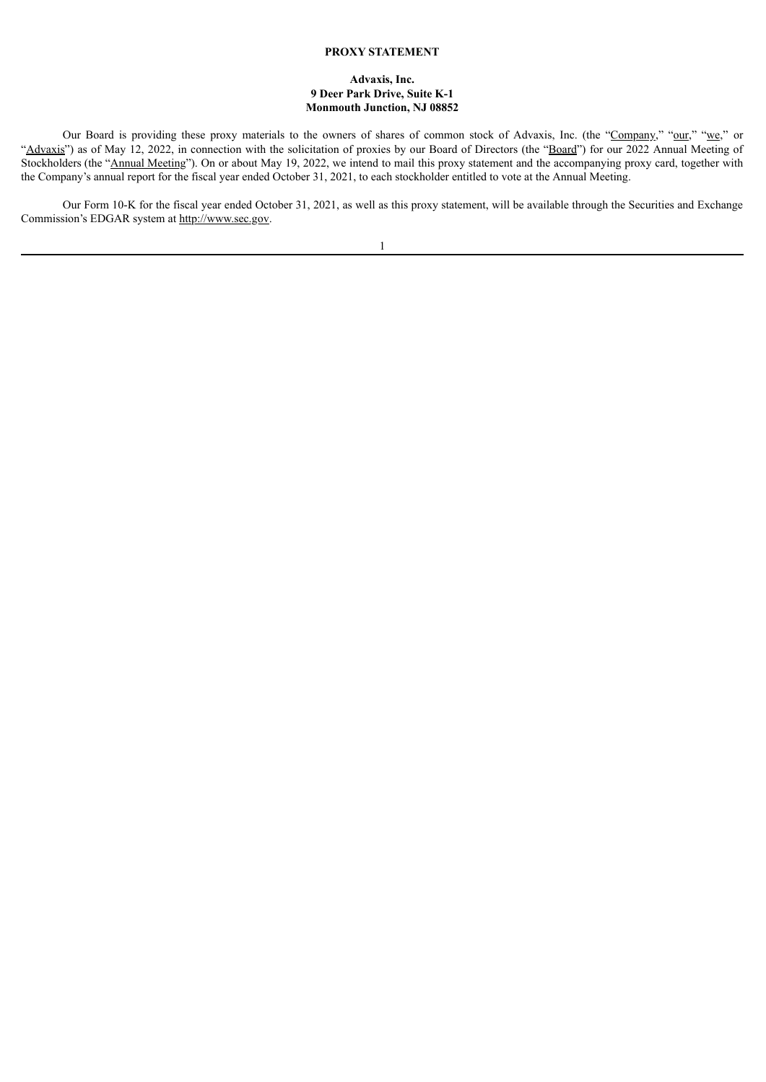# **PROXY STATEMENT**

### **Advaxis, Inc. 9 Deer Park Drive, Suite K-1 Monmouth Junction, NJ 08852**

Our Board is providing these proxy materials to the owners of shares of common stock of Advaxis, Inc. (the "Company," "our," "we," or "Advaxis") as of May 12, 2022, in connection with the solicitation of proxies by our Board of Directors (the "Board") for our 2022 Annual Meeting of Stockholders (the "Annual Meeting"). On or about May 19, 2022, we intend to mail this proxy statement and the accompanying proxy card, together with the Company's annual report for the fiscal year ended October 31, 2021, to each stockholder entitled to vote at the Annual Meeting.

Our Form 10-K for the fiscal year ended October 31, 2021, as well as this proxy statement, will be available through the Securities and Exchange Commission's EDGAR system at http://www.sec.gov.

|  |  | ٠ |  |
|--|--|---|--|
|  |  |   |  |
|  |  |   |  |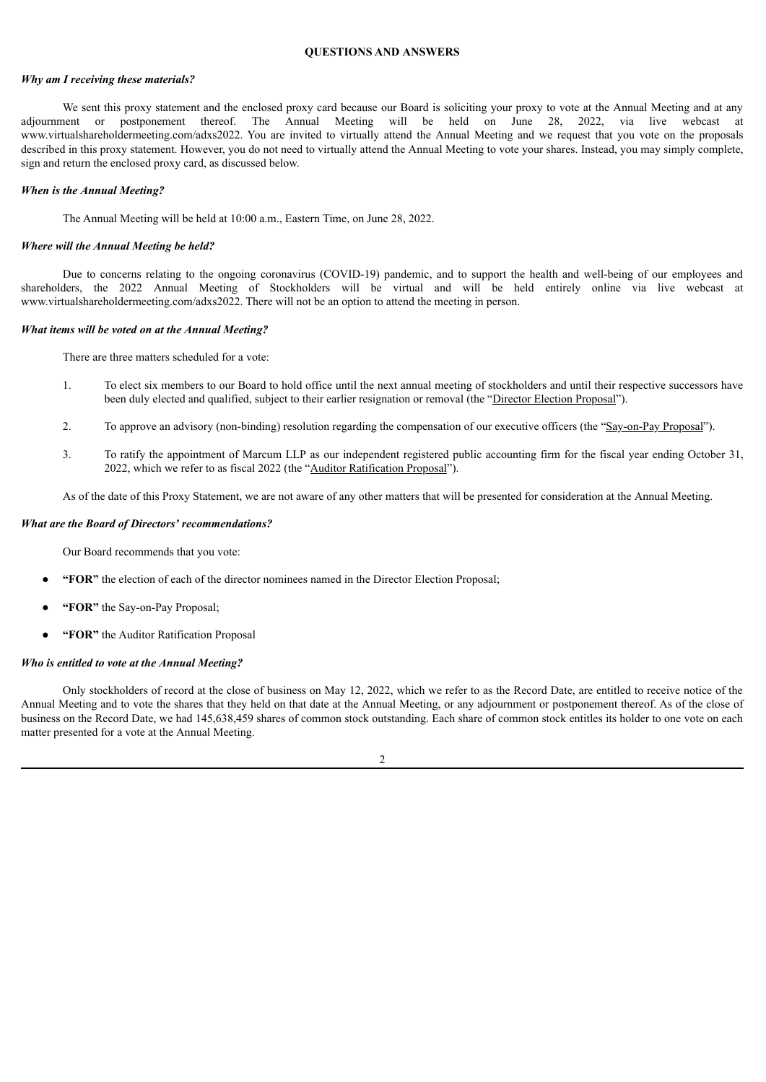# **QUESTIONS AND ANSWERS**

#### <span id="page-4-0"></span>*Why am I receiving these materials?*

We sent this proxy statement and the enclosed proxy card because our Board is soliciting your proxy to vote at the Annual Meeting and at any adjournment or postponement thereof. The Annual Meeting will be held on June 28, 2022, via live webcast at www.virtualshareholdermeeting.com/adxs2022. You are invited to virtually attend the Annual Meeting and we request that you vote on the proposals described in this proxy statement. However, you do not need to virtually attend the Annual Meeting to vote your shares. Instead, you may simply complete, sign and return the enclosed proxy card, as discussed below.

#### *When is the Annual Meeting?*

The Annual Meeting will be held at 10:00 a.m., Eastern Time, on June 28, 2022.

#### *Where will the Annual Meeting be held?*

Due to concerns relating to the ongoing coronavirus (COVID-19) pandemic, and to support the health and well-being of our employees and shareholders, the 2022 Annual Meeting of Stockholders will be virtual and will be held entirely online via live webcast at www.virtualshareholdermeeting.com/adxs2022. There will not be an option to attend the meeting in person.

# *What items will be voted on at the Annual Meeting?*

There are three matters scheduled for a vote:

- 1. To elect six members to our Board to hold office until the next annual meeting of stockholders and until their respective successors have been duly elected and qualified, subject to their earlier resignation or removal (the "Director Election Proposal").
- 2. To approve an advisory (non-binding) resolution regarding the compensation of our executive officers (the "Say-on-Pay Proposal").
- 3. To ratify the appointment of Marcum LLP as our independent registered public accounting firm for the fiscal year ending October 31, 2022, which we refer to as fiscal 2022 (the "Auditor Ratification Proposal").

As of the date of this Proxy Statement, we are not aware of any other matters that will be presented for consideration at the Annual Meeting.

#### *What are the Board of Directors' recommendations?*

Our Board recommends that you vote:

- **"FOR"** the election of each of the director nominees named in the Director Election Proposal;
- "**FOR**" the Say-on-Pay Proposal;
- **"FOR"** the Auditor Ratification Proposal

#### *Who is entitled to vote at the Annual Meeting?*

Only stockholders of record at the close of business on May 12, 2022, which we refer to as the Record Date, are entitled to receive notice of the Annual Meeting and to vote the shares that they held on that date at the Annual Meeting, or any adjournment or postponement thereof. As of the close of business on the Record Date, we had 145,638,459 shares of common stock outstanding. Each share of common stock entitles its holder to one vote on each matter presented for a vote at the Annual Meeting.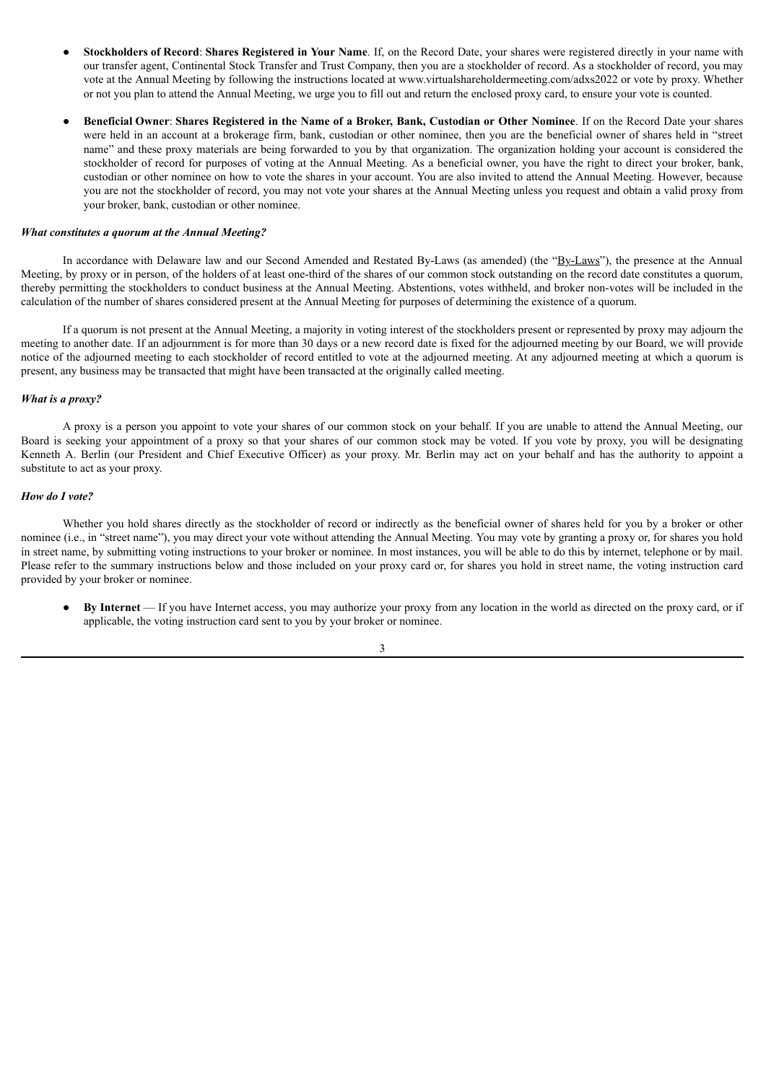- **Stockholders of Record**: **Shares Registered in Your Name**. If, on the Record Date, your shares were registered directly in your name with our transfer agent, Continental Stock Transfer and Trust Company, then you are a stockholder of record. As a stockholder of record, you may vote at the Annual Meeting by following the instructions located at www.virtualshareholdermeeting.com/adxs2022 or vote by proxy. Whether or not you plan to attend the Annual Meeting, we urge you to fill out and return the enclosed proxy card, to ensure your vote is counted.
- Beneficial Owner: Shares Registered in the Name of a Broker, Bank, Custodian or Other Nominee. If on the Record Date your shares were held in an account at a brokerage firm, bank, custodian or other nominee, then you are the beneficial owner of shares held in "street name" and these proxy materials are being forwarded to you by that organization. The organization holding your account is considered the stockholder of record for purposes of voting at the Annual Meeting. As a beneficial owner, you have the right to direct your broker, bank, custodian or other nominee on how to vote the shares in your account. You are also invited to attend the Annual Meeting. However, because you are not the stockholder of record, you may not vote your shares at the Annual Meeting unless you request and obtain a valid proxy from your broker, bank, custodian or other nominee.

#### *What constitutes a quorum at the Annual Meeting?*

In accordance with Delaware law and our Second Amended and Restated By-Laws (as amended) (the "By-Laws"), the presence at the Annual Meeting, by proxy or in person, of the holders of at least one-third of the shares of our common stock outstanding on the record date constitutes a quorum, thereby permitting the stockholders to conduct business at the Annual Meeting. Abstentions, votes withheld, and broker non-votes will be included in the calculation of the number of shares considered present at the Annual Meeting for purposes of determining the existence of a quorum.

If a quorum is not present at the Annual Meeting, a majority in voting interest of the stockholders present or represented by proxy may adjourn the meeting to another date. If an adjournment is for more than 30 days or a new record date is fixed for the adjourned meeting by our Board, we will provide notice of the adjourned meeting to each stockholder of record entitled to vote at the adjourned meeting. At any adjourned meeting at which a quorum is present, any business may be transacted that might have been transacted at the originally called meeting.

#### *What is a proxy?*

A proxy is a person you appoint to vote your shares of our common stock on your behalf. If you are unable to attend the Annual Meeting, our Board is seeking your appointment of a proxy so that your shares of our common stock may be voted. If you vote by proxy, you will be designating Kenneth A. Berlin (our President and Chief Executive Officer) as your proxy. Mr. Berlin may act on your behalf and has the authority to appoint a substitute to act as your proxy.

#### *How do I vote?*

Whether you hold shares directly as the stockholder of record or indirectly as the beneficial owner of shares held for you by a broker or other nominee (i.e., in "street name"), you may direct your vote without attending the Annual Meeting. You may vote by granting a proxy or, for shares you hold in street name, by submitting voting instructions to your broker or nominee. In most instances, you will be able to do this by internet, telephone or by mail. Please refer to the summary instructions below and those included on your proxy card or, for shares you hold in street name, the voting instruction card provided by your broker or nominee.

● **By Internet** — If you have Internet access, you may authorize your proxy from any location in the world as directed on the proxy card, or if applicable, the voting instruction card sent to you by your broker or nominee.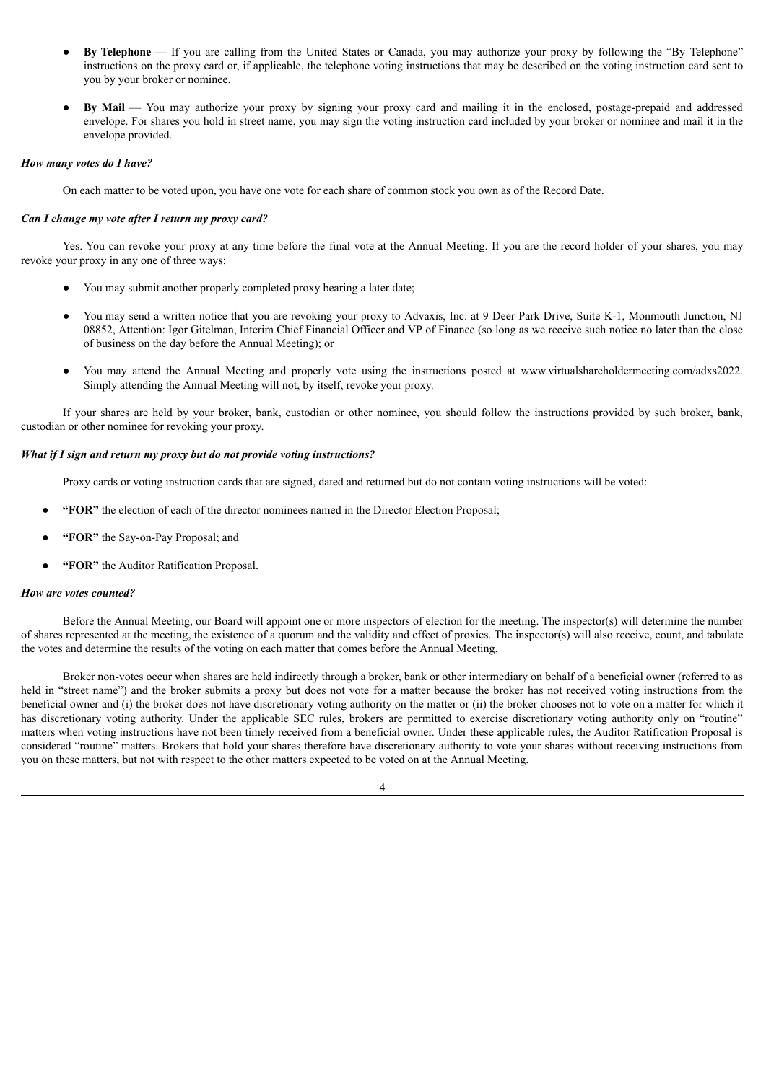- By Telephone If you are calling from the United States or Canada, you may authorize your proxy by following the "By Telephone" instructions on the proxy card or, if applicable, the telephone voting instructions that may be described on the voting instruction card sent to you by your broker or nominee.
- **By Mail** You may authorize your proxy by signing your proxy card and mailing it in the enclosed, postage-prepaid and addressed envelope. For shares you hold in street name, you may sign the voting instruction card included by your broker or nominee and mail it in the envelope provided.

#### *How many votes do I have?*

On each matter to be voted upon, you have one vote for each share of common stock you own as of the Record Date.

#### *Can I change my vote after I return my proxy card?*

Yes. You can revoke your proxy at any time before the final vote at the Annual Meeting. If you are the record holder of your shares, you may revoke your proxy in any one of three ways:

- You may submit another properly completed proxy bearing a later date;
- You may send a written notice that you are revoking your proxy to Advaxis, Inc. at 9 Deer Park Drive, Suite K-1, Monmouth Junction, NJ 08852, Attention: Igor Gitelman, Interim Chief Financial Officer and VP of Finance (so long as we receive such notice no later than the close of business on the day before the Annual Meeting); or
- You may attend the Annual Meeting and properly vote using the instructions posted at www.virtualshareholdermeeting.com/adxs2022. Simply attending the Annual Meeting will not, by itself, revoke your proxy.

If your shares are held by your broker, bank, custodian or other nominee, you should follow the instructions provided by such broker, bank, custodian or other nominee for revoking your proxy.

#### *What if I sign and return my proxy but do not provide voting instructions?*

Proxy cards or voting instruction cards that are signed, dated and returned but do not contain voting instructions will be voted:

- **"FOR"** the election of each of the director nominees named in the Director Election Proposal;
- **"FOR"** the Say-on-Pay Proposal; and
- **"FOR"** the Auditor Ratification Proposal.

#### *How are votes counted?*

Before the Annual Meeting, our Board will appoint one or more inspectors of election for the meeting. The inspector(s) will determine the number of shares represented at the meeting, the existence of a quorum and the validity and effect of proxies. The inspector(s) will also receive, count, and tabulate the votes and determine the results of the voting on each matter that comes before the Annual Meeting.

Broker non-votes occur when shares are held indirectly through a broker, bank or other intermediary on behalf of a beneficial owner (referred to as held in "street name") and the broker submits a proxy but does not vote for a matter because the broker has not received voting instructions from the beneficial owner and (i) the broker does not have discretionary voting authority on the matter or (ii) the broker chooses not to vote on a matter for which it has discretionary voting authority. Under the applicable SEC rules, brokers are permitted to exercise discretionary voting authority only on "routine" matters when voting instructions have not been timely received from a beneficial owner. Under these applicable rules, the Auditor Ratification Proposal is considered "routine" matters. Brokers that hold your shares therefore have discretionary authority to vote your shares without receiving instructions from you on these matters, but not with respect to the other matters expected to be voted on at the Annual Meeting.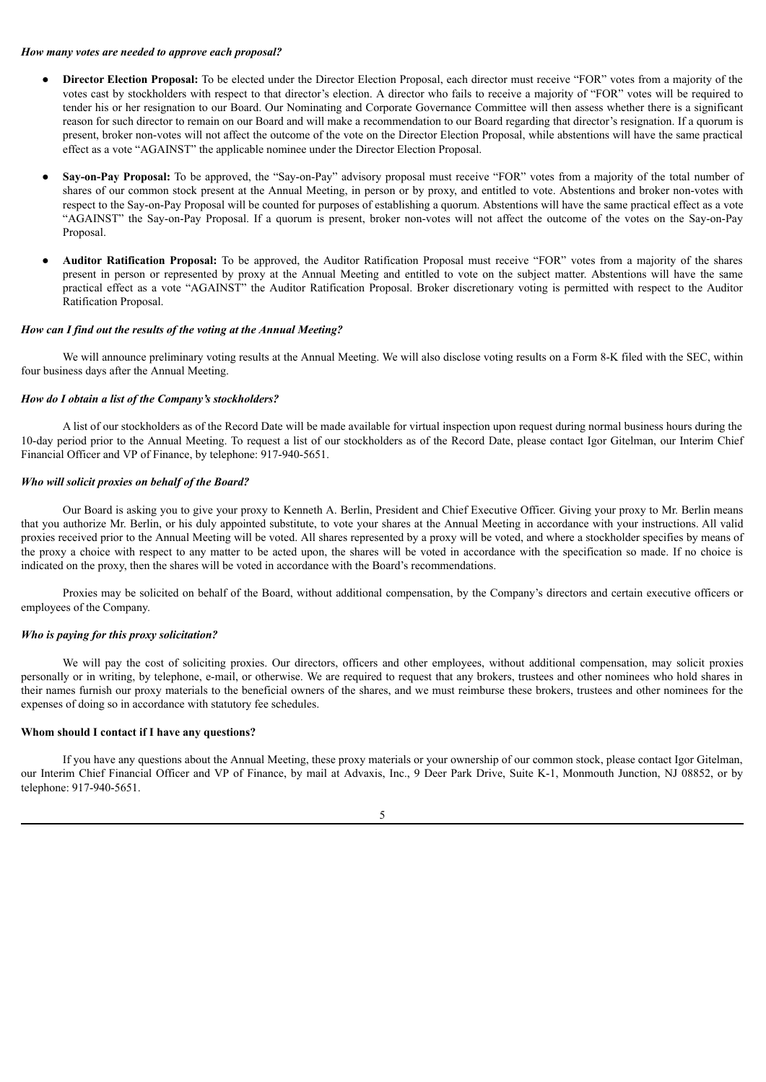#### *How many votes are needed to approve each proposal?*

- **Director Election Proposal:** To be elected under the Director Election Proposal, each director must receive "FOR" votes from a majority of the votes cast by stockholders with respect to that director's election. A director who fails to receive a majority of "FOR" votes will be required to tender his or her resignation to our Board. Our Nominating and Corporate Governance Committee will then assess whether there is a significant reason for such director to remain on our Board and will make a recommendation to our Board regarding that director's resignation. If a quorum is present, broker non-votes will not affect the outcome of the vote on the Director Election Proposal, while abstentions will have the same practical effect as a vote "AGAINST" the applicable nominee under the Director Election Proposal.
- **Say-on-Pay Proposal:** To be approved, the "Say-on-Pay" advisory proposal must receive "FOR" votes from a majority of the total number of shares of our common stock present at the Annual Meeting, in person or by proxy, and entitled to vote. Abstentions and broker non-votes with respect to the Say-on-Pay Proposal will be counted for purposes of establishing a quorum. Abstentions will have the same practical effect as a vote "AGAINST" the Say-on-Pay Proposal. If a quorum is present, broker non-votes will not affect the outcome of the votes on the Say-on-Pay Proposal.
- **Auditor Ratification Proposal:** To be approved, the Auditor Ratification Proposal must receive "FOR" votes from a majority of the shares present in person or represented by proxy at the Annual Meeting and entitled to vote on the subject matter. Abstentions will have the same practical effect as a vote "AGAINST" the Auditor Ratification Proposal. Broker discretionary voting is permitted with respect to the Auditor Ratification Proposal.

# *How can I find out the results of the voting at the Annual Meeting?*

We will announce preliminary voting results at the Annual Meeting. We will also disclose voting results on a Form 8-K filed with the SEC, within four business days after the Annual Meeting.

#### *How do I obtain a list of the Company's stockholders?*

A list of our stockholders as of the Record Date will be made available for virtual inspection upon request during normal business hours during the 10-day period prior to the Annual Meeting. To request a list of our stockholders as of the Record Date, please contact Igor Gitelman, our Interim Chief Financial Officer and VP of Finance, by telephone: 917-940-5651.

#### *Who will solicit proxies on behalf of the Board?*

Our Board is asking you to give your proxy to Kenneth A. Berlin, President and Chief Executive Officer. Giving your proxy to Mr. Berlin means that you authorize Mr. Berlin, or his duly appointed substitute, to vote your shares at the Annual Meeting in accordance with your instructions. All valid proxies received prior to the Annual Meeting will be voted. All shares represented by a proxy will be voted, and where a stockholder specifies by means of the proxy a choice with respect to any matter to be acted upon, the shares will be voted in accordance with the specification so made. If no choice is indicated on the proxy, then the shares will be voted in accordance with the Board's recommendations.

Proxies may be solicited on behalf of the Board, without additional compensation, by the Company's directors and certain executive officers or employees of the Company.

#### *Who is paying for this proxy solicitation?*

We will pay the cost of soliciting proxies. Our directors, officers and other employees, without additional compensation, may solicit proxies personally or in writing, by telephone, e-mail, or otherwise. We are required to request that any brokers, trustees and other nominees who hold shares in their names furnish our proxy materials to the beneficial owners of the shares, and we must reimburse these brokers, trustees and other nominees for the expenses of doing so in accordance with statutory fee schedules.

#### **Whom should I contact if I have any questions?**

If you have any questions about the Annual Meeting, these proxy materials or your ownership of our common stock, please contact Igor Gitelman, our Interim Chief Financial Officer and VP of Finance, by mail at Advaxis, Inc., 9 Deer Park Drive, Suite K-1, Monmouth Junction, NJ 08852, or by telephone: 917-940-5651.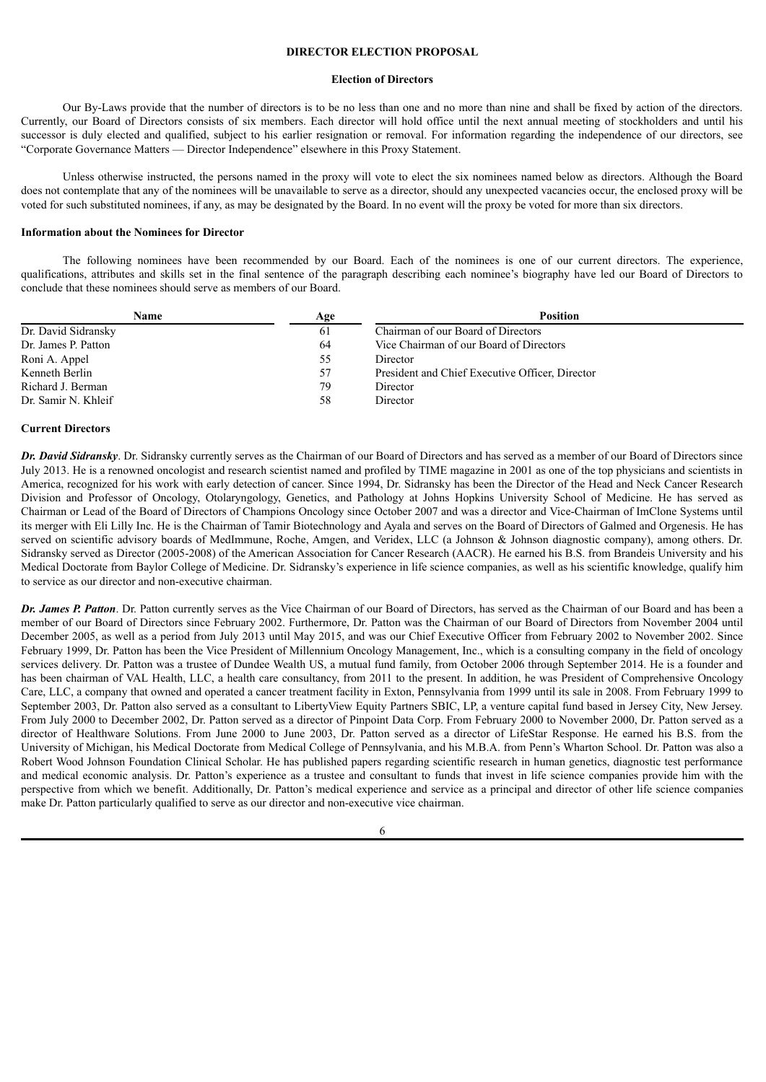### **DIRECTOR ELECTION PROPOSAL**

#### **Election of Directors**

<span id="page-8-0"></span>Our By-Laws provide that the number of directors is to be no less than one and no more than nine and shall be fixed by action of the directors. Currently, our Board of Directors consists of six members. Each director will hold office until the next annual meeting of stockholders and until his successor is duly elected and qualified, subject to his earlier resignation or removal. For information regarding the independence of our directors, see "Corporate Governance Matters — Director Independence" elsewhere in this Proxy Statement.

Unless otherwise instructed, the persons named in the proxy will vote to elect the six nominees named below as directors. Although the Board does not contemplate that any of the nominees will be unavailable to serve as a director, should any unexpected vacancies occur, the enclosed proxy will be voted for such substituted nominees, if any, as may be designated by the Board. In no event will the proxy be voted for more than six directors.

## **Information about the Nominees for Director**

The following nominees have been recommended by our Board. Each of the nominees is one of our current directors. The experience, qualifications, attributes and skills set in the final sentence of the paragraph describing each nominee's biography have led our Board of Directors to conclude that these nominees should serve as members of our Board.

| Name                | Age | <b>Position</b>                                 |
|---------------------|-----|-------------------------------------------------|
| Dr. David Sidransky | 61  | Chairman of our Board of Directors              |
| Dr. James P. Patton | 64  | Vice Chairman of our Board of Directors         |
| Roni A. Appel       | 55  | Director                                        |
| Kenneth Berlin      | 57  | President and Chief Executive Officer, Director |
| Richard J. Berman   | 79  | Director                                        |
| Dr. Samir N. Khleif | 58  | Director                                        |

#### **Current Directors**

*Dr. David Sidransky*. Dr. Sidransky currently serves as the Chairman of our Board of Directors and has served as a member of our Board of Directors since July 2013. He is a renowned oncologist and research scientist named and profiled by TIME magazine in 2001 as one of the top physicians and scientists in America, recognized for his work with early detection of cancer. Since 1994, Dr. Sidransky has been the Director of the Head and Neck Cancer Research Division and Professor of Oncology, Otolaryngology, Genetics, and Pathology at Johns Hopkins University School of Medicine. He has served as Chairman or Lead of the Board of Directors of Champions Oncology since October 2007 and was a director and Vice-Chairman of ImClone Systems until its merger with Eli Lilly Inc. He is the Chairman of Tamir Biotechnology and Ayala and serves on the Board of Directors of Galmed and Orgenesis. He has served on scientific advisory boards of MedImmune, Roche, Amgen, and Veridex, LLC (a Johnson & Johnson diagnostic company), among others. Dr. Sidransky served as Director (2005-2008) of the American Association for Cancer Research (AACR). He earned his B.S. from Brandeis University and his Medical Doctorate from Baylor College of Medicine. Dr. Sidransky's experience in life science companies, as well as his scientific knowledge, qualify him to service as our director and non-executive chairman.

*Dr. James P. Patton*. Dr. Patton currently serves as the Vice Chairman of our Board of Directors, has served as the Chairman of our Board and has been a member of our Board of Directors since February 2002. Furthermore, Dr. Patton was the Chairman of our Board of Directors from November 2004 until December 2005, as well as a period from July 2013 until May 2015, and was our Chief Executive Officer from February 2002 to November 2002. Since February 1999, Dr. Patton has been the Vice President of Millennium Oncology Management, Inc., which is a consulting company in the field of oncology services delivery. Dr. Patton was a trustee of Dundee Wealth US, a mutual fund family, from October 2006 through September 2014. He is a founder and has been chairman of VAL Health, LLC, a health care consultancy, from 2011 to the present. In addition, he was President of Comprehensive Oncology Care, LLC, a company that owned and operated a cancer treatment facility in Exton, Pennsylvania from 1999 until its sale in 2008. From February 1999 to September 2003, Dr. Patton also served as a consultant to LibertyView Equity Partners SBIC, LP, a venture capital fund based in Jersey City, New Jersey. From July 2000 to December 2002, Dr. Patton served as a director of Pinpoint Data Corp. From February 2000 to November 2000, Dr. Patton served as a director of Healthware Solutions. From June 2000 to June 2003, Dr. Patton served as a director of LifeStar Response. He earned his B.S. from the University of Michigan, his Medical Doctorate from Medical College of Pennsylvania, and his M.B.A. from Penn's Wharton School. Dr. Patton was also a Robert Wood Johnson Foundation Clinical Scholar. He has published papers regarding scientific research in human genetics, diagnostic test performance and medical economic analysis. Dr. Patton's experience as a trustee and consultant to funds that invest in life science companies provide him with the perspective from which we benefit. Additionally, Dr. Patton's medical experience and service as a principal and director of other life science companies make Dr. Patton particularly qualified to serve as our director and non-executive vice chairman.

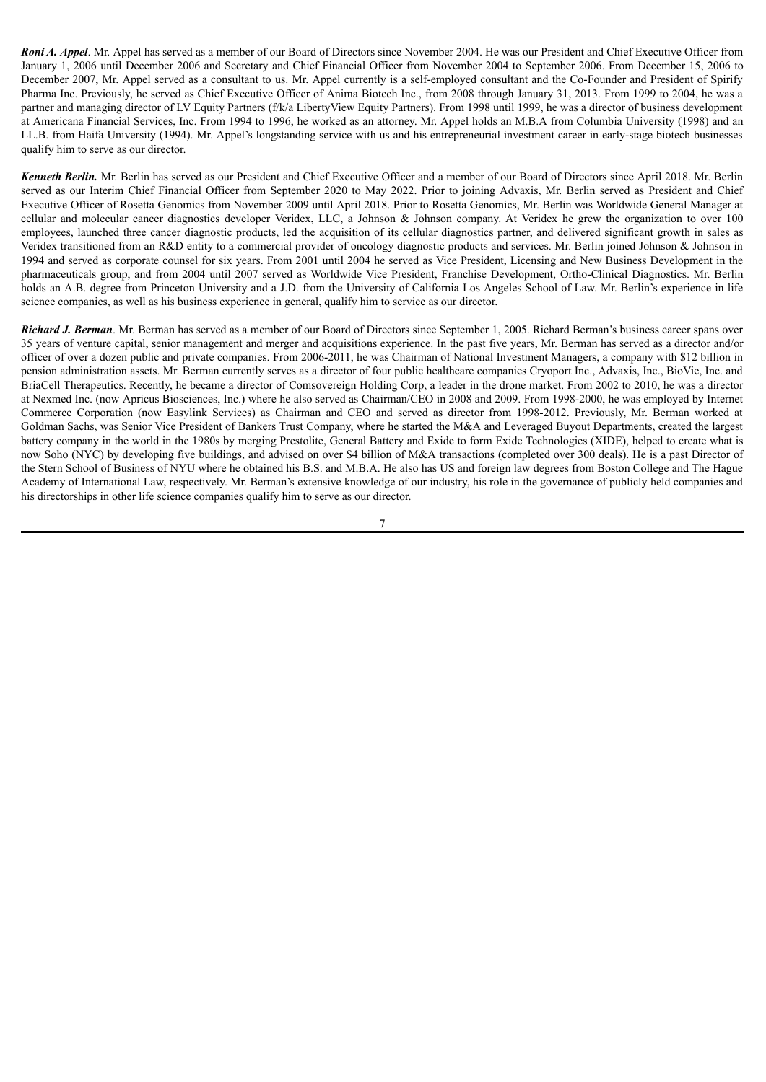*Roni A. Appel*. Mr. Appel has served as a member of our Board of Directors since November 2004. He was our President and Chief Executive Officer from January 1, 2006 until December 2006 and Secretary and Chief Financial Officer from November 2004 to September 2006. From December 15, 2006 to December 2007, Mr. Appel served as a consultant to us. Mr. Appel currently is a self-employed consultant and the Co-Founder and President of Spirify Pharma Inc. Previously, he served as Chief Executive Officer of Anima Biotech Inc., from 2008 through January 31, 2013. From 1999 to 2004, he was a partner and managing director of LV Equity Partners (f/k/a LibertyView Equity Partners). From 1998 until 1999, he was a director of business development at Americana Financial Services, Inc. From 1994 to 1996, he worked as an attorney. Mr. Appel holds an M.B.A from Columbia University (1998) and an LL.B. from Haifa University (1994). Mr. Appel's longstanding service with us and his entrepreneurial investment career in early-stage biotech businesses qualify him to serve as our director.

*Kenneth Berlin.* Mr. Berlin has served as our President and Chief Executive Officer and a member of our Board of Directors since April 2018. Mr. Berlin served as our Interim Chief Financial Officer from September 2020 to May 2022. Prior to joining Advaxis, Mr. Berlin served as President and Chief Executive Officer of Rosetta Genomics from November 2009 until April 2018. Prior to Rosetta Genomics, Mr. Berlin was Worldwide General Manager at cellular and molecular cancer diagnostics developer Veridex, LLC, a Johnson & Johnson company. At Veridex he grew the organization to over 100 employees, launched three cancer diagnostic products, led the acquisition of its cellular diagnostics partner, and delivered significant growth in sales as Veridex transitioned from an R&D entity to a commercial provider of oncology diagnostic products and services. Mr. Berlin joined Johnson & Johnson in 1994 and served as corporate counsel for six years. From 2001 until 2004 he served as Vice President, Licensing and New Business Development in the pharmaceuticals group, and from 2004 until 2007 served as Worldwide Vice President, Franchise Development, Ortho-Clinical Diagnostics. Mr. Berlin holds an A.B. degree from Princeton University and a J.D. from the University of California Los Angeles School of Law. Mr. Berlin's experience in life science companies, as well as his business experience in general, qualify him to service as our director.

*Richard J. Berman*. Mr. Berman has served as a member of our Board of Directors since September 1, 2005. Richard Berman's business career spans over 35 years of venture capital, senior management and merger and acquisitions experience. In the past five years, Mr. Berman has served as a director and/or officer of over a dozen public and private companies. From 2006-2011, he was Chairman of National Investment Managers, a company with \$12 billion in pension administration assets. Mr. Berman currently serves as a director of four public healthcare companies Cryoport Inc., Advaxis, Inc., BioVie, Inc. and BriaCell Therapeutics. Recently, he became a director of Comsovereign Holding Corp, a leader in the drone market. From 2002 to 2010, he was a director at Nexmed Inc. (now Apricus Biosciences, Inc.) where he also served as Chairman/CEO in 2008 and 2009. From 1998-2000, he was employed by Internet Commerce Corporation (now Easylink Services) as Chairman and CEO and served as director from 1998-2012. Previously, Mr. Berman worked at Goldman Sachs, was Senior Vice President of Bankers Trust Company, where he started the M&A and Leveraged Buyout Departments, created the largest battery company in the world in the 1980s by merging Prestolite, General Battery and Exide to form Exide Technologies (XIDE), helped to create what is now Soho (NYC) by developing five buildings, and advised on over \$4 billion of M&A transactions (completed over 300 deals). He is a past Director of the Stern School of Business of NYU where he obtained his B.S. and M.B.A. He also has US and foreign law degrees from Boston College and The Hague Academy of International Law, respectively. Mr. Berman's extensive knowledge of our industry, his role in the governance of publicly held companies and his directorships in other life science companies qualify him to serve as our director.

7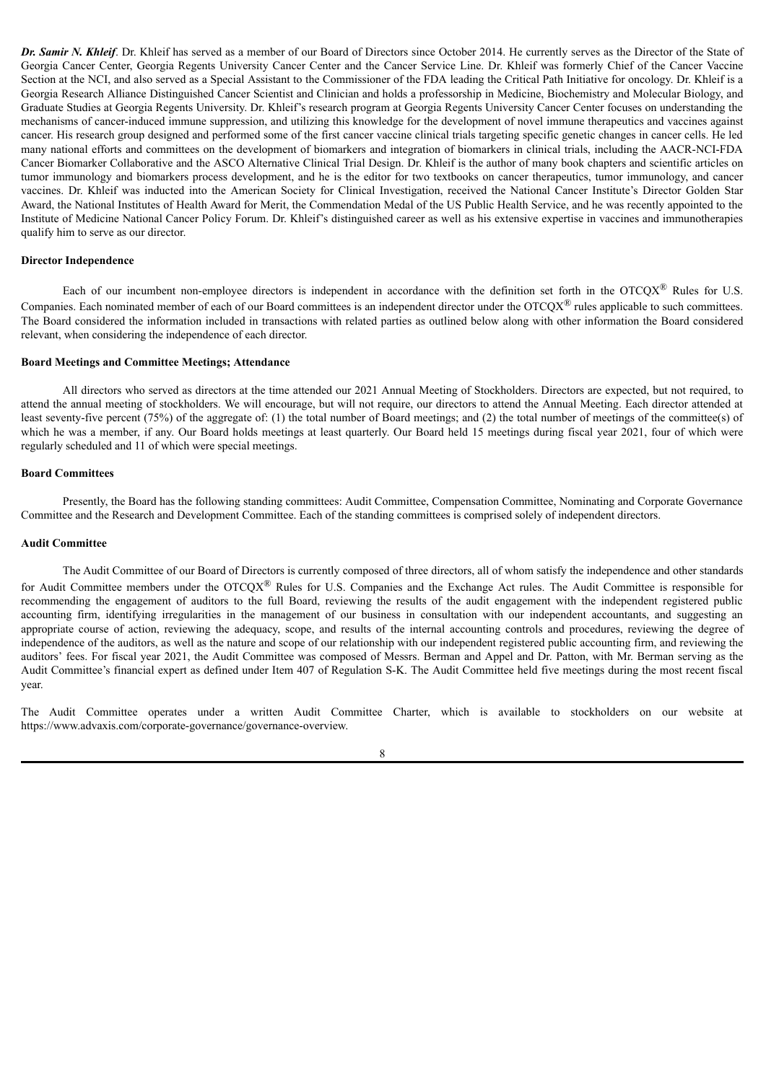*Dr. Samir N. Khleif*. Dr. Khleif has served as a member of our Board of Directors since October 2014. He currently serves as the Director of the State of Georgia Cancer Center, Georgia Regents University Cancer Center and the Cancer Service Line. Dr. Khleif was formerly Chief of the Cancer Vaccine Section at the NCI, and also served as a Special Assistant to the Commissioner of the FDA leading the Critical Path Initiative for oncology. Dr. Khleif is a Georgia Research Alliance Distinguished Cancer Scientist and Clinician and holds a professorship in Medicine, Biochemistry and Molecular Biology, and Graduate Studies at Georgia Regents University. Dr. Khleif's research program at Georgia Regents University Cancer Center focuses on understanding the mechanisms of cancer-induced immune suppression, and utilizing this knowledge for the development of novel immune therapeutics and vaccines against cancer. His research group designed and performed some of the first cancer vaccine clinical trials targeting specific genetic changes in cancer cells. He led many national efforts and committees on the development of biomarkers and integration of biomarkers in clinical trials, including the AACR-NCI-FDA Cancer Biomarker Collaborative and the ASCO Alternative Clinical Trial Design. Dr. Khleif is the author of many book chapters and scientific articles on tumor immunology and biomarkers process development, and he is the editor for two textbooks on cancer therapeutics, tumor immunology, and cancer vaccines. Dr. Khleif was inducted into the American Society for Clinical Investigation, received the National Cancer Institute's Director Golden Star Award, the National Institutes of Health Award for Merit, the Commendation Medal of the US Public Health Service, and he was recently appointed to the Institute of Medicine National Cancer Policy Forum. Dr. Khleif's distinguished career as well as his extensive expertise in vaccines and immunotherapies qualify him to serve as our director.

#### **Director Independence**

Each of our incumbent non-employee directors is independent in accordance with the definition set forth in the OTCQX<sup>®</sup> Rules for U.S. Companies. Each nominated member of each of our Board committees is an independent director under the  $\text{OTCQX}^{\textcircled{\tiny{\textregistered}}}$  rules applicable to such committees. The Board considered the information included in transactions with related parties as outlined below along with other information the Board considered relevant, when considering the independence of each director.

### **Board Meetings and Committee Meetings; Attendance**

All directors who served as directors at the time attended our 2021 Annual Meeting of Stockholders. Directors are expected, but not required, to attend the annual meeting of stockholders. We will encourage, but will not require, our directors to attend the Annual Meeting. Each director attended at least seventy-five percent (75%) of the aggregate of: (1) the total number of Board meetings; and (2) the total number of meetings of the committee(s) of which he was a member, if any. Our Board holds meetings at least quarterly. Our Board held 15 meetings during fiscal year 2021, four of which were regularly scheduled and 11 of which were special meetings.

#### **Board Committees**

Presently, the Board has the following standing committees: Audit Committee, Compensation Committee, Nominating and Corporate Governance Committee and the Research and Development Committee. Each of the standing committees is comprised solely of independent directors.

#### **Audit Committee**

The Audit Committee of our Board of Directors is currently composed of three directors, all of whom satisfy the independence and other standards for Audit Committee members under the OTCQX<sup>®</sup> Rules for U.S. Companies and the Exchange Act rules. The Audit Committee is responsible for recommending the engagement of auditors to the full Board, reviewing the results of the audit engagement with the independent registered public accounting firm, identifying irregularities in the management of our business in consultation with our independent accountants, and suggesting an appropriate course of action, reviewing the adequacy, scope, and results of the internal accounting controls and procedures, reviewing the degree of independence of the auditors, as well as the nature and scope of our relationship with our independent registered public accounting firm, and reviewing the auditors' fees. For fiscal year 2021, the Audit Committee was composed of Messrs. Berman and Appel and Dr. Patton, with Mr. Berman serving as the Audit Committee's financial expert as defined under Item 407 of Regulation S-K. The Audit Committee held five meetings during the most recent fiscal year.

The Audit Committee operates under a written Audit Committee Charter, which is available to stockholders on our website at https://www.advaxis.com/corporate-governance/governance-overview.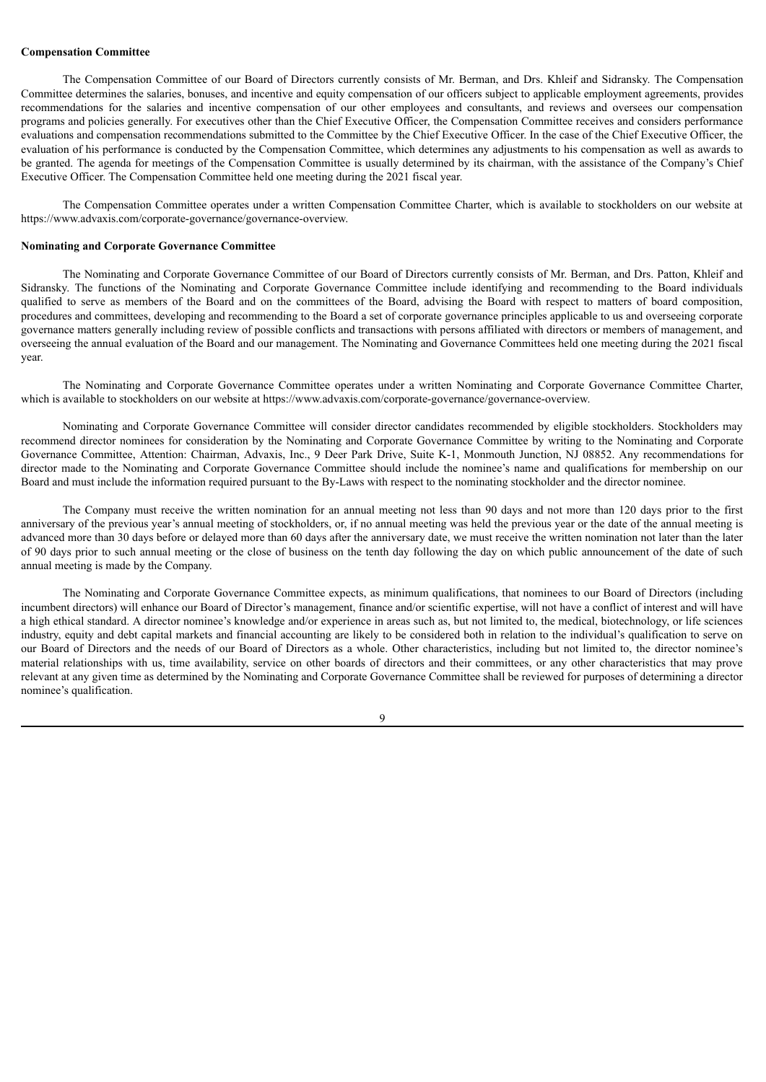#### **Compensation Committee**

The Compensation Committee of our Board of Directors currently consists of Mr. Berman, and Drs. Khleif and Sidransky. The Compensation Committee determines the salaries, bonuses, and incentive and equity compensation of our officers subject to applicable employment agreements, provides recommendations for the salaries and incentive compensation of our other employees and consultants, and reviews and oversees our compensation programs and policies generally. For executives other than the Chief Executive Officer, the Compensation Committee receives and considers performance evaluations and compensation recommendations submitted to the Committee by the Chief Executive Officer. In the case of the Chief Executive Officer, the evaluation of his performance is conducted by the Compensation Committee, which determines any adjustments to his compensation as well as awards to be granted. The agenda for meetings of the Compensation Committee is usually determined by its chairman, with the assistance of the Company's Chief Executive Officer. The Compensation Committee held one meeting during the 2021 fiscal year.

The Compensation Committee operates under a written Compensation Committee Charter, which is available to stockholders on our website at https://www.advaxis.com/corporate-governance/governance-overview.

#### **Nominating and Corporate Governance Committee**

The Nominating and Corporate Governance Committee of our Board of Directors currently consists of Mr. Berman, and Drs. Patton, Khleif and Sidransky. The functions of the Nominating and Corporate Governance Committee include identifying and recommending to the Board individuals qualified to serve as members of the Board and on the committees of the Board, advising the Board with respect to matters of board composition, procedures and committees, developing and recommending to the Board a set of corporate governance principles applicable to us and overseeing corporate governance matters generally including review of possible conflicts and transactions with persons affiliated with directors or members of management, and overseeing the annual evaluation of the Board and our management. The Nominating and Governance Committees held one meeting during the 2021 fiscal year.

The Nominating and Corporate Governance Committee operates under a written Nominating and Corporate Governance Committee Charter, which is available to stockholders on our website at https://www.advaxis.com/corporate-governance/governance-overview.

Nominating and Corporate Governance Committee will consider director candidates recommended by eligible stockholders. Stockholders may recommend director nominees for consideration by the Nominating and Corporate Governance Committee by writing to the Nominating and Corporate Governance Committee, Attention: Chairman, Advaxis, Inc., 9 Deer Park Drive, Suite K-1, Monmouth Junction, NJ 08852. Any recommendations for director made to the Nominating and Corporate Governance Committee should include the nominee's name and qualifications for membership on our Board and must include the information required pursuant to the By-Laws with respect to the nominating stockholder and the director nominee.

The Company must receive the written nomination for an annual meeting not less than 90 days and not more than 120 days prior to the first anniversary of the previous year's annual meeting of stockholders, or, if no annual meeting was held the previous year or the date of the annual meeting is advanced more than 30 days before or delayed more than 60 days after the anniversary date, we must receive the written nomination not later than the later of 90 days prior to such annual meeting or the close of business on the tenth day following the day on which public announcement of the date of such annual meeting is made by the Company.

The Nominating and Corporate Governance Committee expects, as minimum qualifications, that nominees to our Board of Directors (including incumbent directors) will enhance our Board of Director's management, finance and/or scientific expertise, will not have a conflict of interest and will have a high ethical standard. A director nominee's knowledge and/or experience in areas such as, but not limited to, the medical, biotechnology, or life sciences industry, equity and debt capital markets and financial accounting are likely to be considered both in relation to the individual's qualification to serve on our Board of Directors and the needs of our Board of Directors as a whole. Other characteristics, including but not limited to, the director nominee's material relationships with us, time availability, service on other boards of directors and their committees, or any other characteristics that may prove relevant at any given time as determined by the Nominating and Corporate Governance Committee shall be reviewed for purposes of determining a director nominee's qualification.

9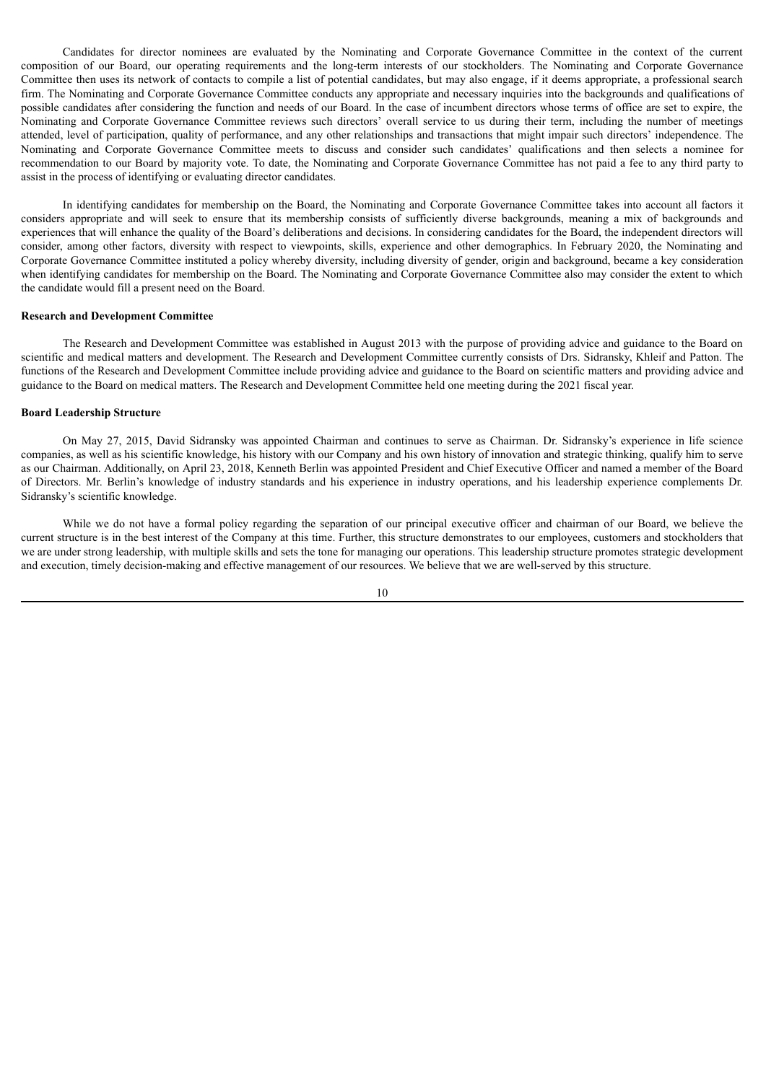Candidates for director nominees are evaluated by the Nominating and Corporate Governance Committee in the context of the current composition of our Board, our operating requirements and the long-term interests of our stockholders. The Nominating and Corporate Governance Committee then uses its network of contacts to compile a list of potential candidates, but may also engage, if it deems appropriate, a professional search firm. The Nominating and Corporate Governance Committee conducts any appropriate and necessary inquiries into the backgrounds and qualifications of possible candidates after considering the function and needs of our Board. In the case of incumbent directors whose terms of office are set to expire, the Nominating and Corporate Governance Committee reviews such directors' overall service to us during their term, including the number of meetings attended, level of participation, quality of performance, and any other relationships and transactions that might impair such directors' independence. The Nominating and Corporate Governance Committee meets to discuss and consider such candidates' qualifications and then selects a nominee for recommendation to our Board by majority vote. To date, the Nominating and Corporate Governance Committee has not paid a fee to any third party to assist in the process of identifying or evaluating director candidates.

In identifying candidates for membership on the Board, the Nominating and Corporate Governance Committee takes into account all factors it considers appropriate and will seek to ensure that its membership consists of sufficiently diverse backgrounds, meaning a mix of backgrounds and experiences that will enhance the quality of the Board's deliberations and decisions. In considering candidates for the Board, the independent directors will consider, among other factors, diversity with respect to viewpoints, skills, experience and other demographics. In February 2020, the Nominating and Corporate Governance Committee instituted a policy whereby diversity, including diversity of gender, origin and background, became a key consideration when identifying candidates for membership on the Board. The Nominating and Corporate Governance Committee also may consider the extent to which the candidate would fill a present need on the Board.

#### **Research and Development Committee**

The Research and Development Committee was established in August 2013 with the purpose of providing advice and guidance to the Board on scientific and medical matters and development. The Research and Development Committee currently consists of Drs. Sidransky, Khleif and Patton. The functions of the Research and Development Committee include providing advice and guidance to the Board on scientific matters and providing advice and guidance to the Board on medical matters. The Research and Development Committee held one meeting during the 2021 fiscal year.

#### **Board Leadership Structure**

On May 27, 2015, David Sidransky was appointed Chairman and continues to serve as Chairman. Dr. Sidransky's experience in life science companies, as well as his scientific knowledge, his history with our Company and his own history of innovation and strategic thinking, qualify him to serve as our Chairman. Additionally, on April 23, 2018, Kenneth Berlin was appointed President and Chief Executive Officer and named a member of the Board of Directors. Mr. Berlin's knowledge of industry standards and his experience in industry operations, and his leadership experience complements Dr. Sidransky's scientific knowledge.

While we do not have a formal policy regarding the separation of our principal executive officer and chairman of our Board, we believe the current structure is in the best interest of the Company at this time. Further, this structure demonstrates to our employees, customers and stockholders that we are under strong leadership, with multiple skills and sets the tone for managing our operations. This leadership structure promotes strategic development and execution, timely decision-making and effective management of our resources. We believe that we are well-served by this structure.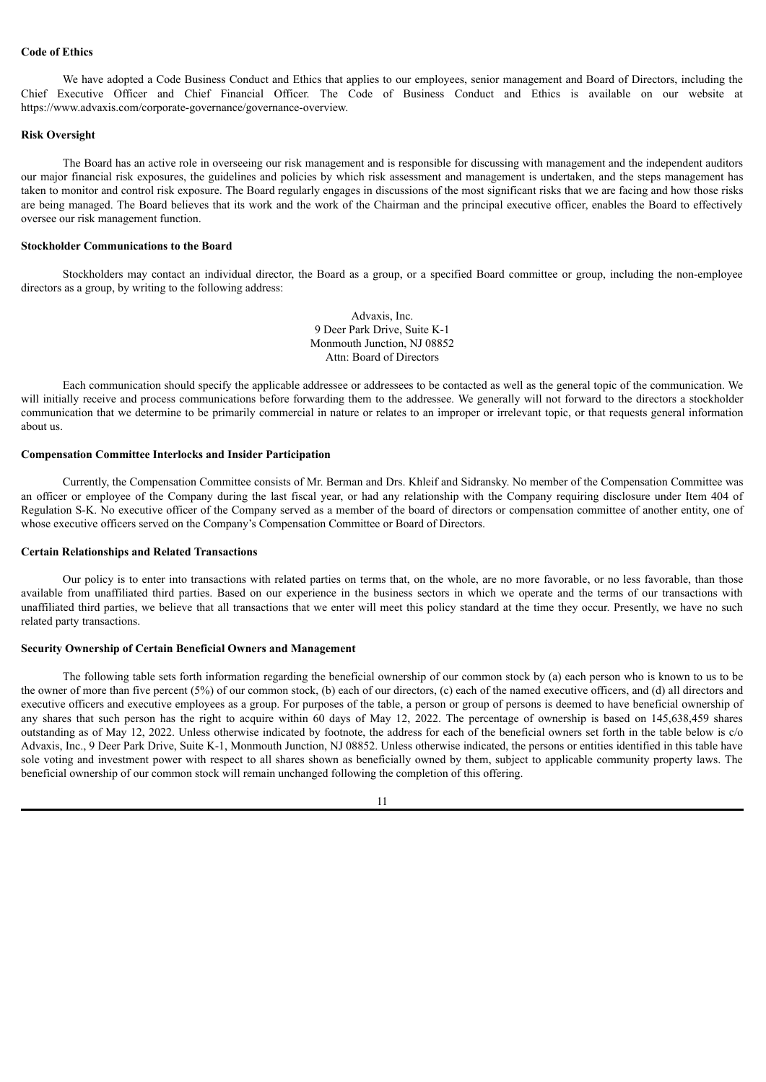# **Code of Ethics**

We have adopted a Code Business Conduct and Ethics that applies to our employees, senior management and Board of Directors, including the Chief Executive Officer and Chief Financial Officer. The Code of Business Conduct and Ethics is available on our website at https://www.advaxis.com/corporate-governance/governance-overview.

#### **Risk Oversight**

The Board has an active role in overseeing our risk management and is responsible for discussing with management and the independent auditors our major financial risk exposures, the guidelines and policies by which risk assessment and management is undertaken, and the steps management has taken to monitor and control risk exposure. The Board regularly engages in discussions of the most significant risks that we are facing and how those risks are being managed. The Board believes that its work and the work of the Chairman and the principal executive officer, enables the Board to effectively oversee our risk management function.

#### **Stockholder Communications to the Board**

Stockholders may contact an individual director, the Board as a group, or a specified Board committee or group, including the non-employee directors as a group, by writing to the following address:

> Advaxis, Inc. 9 Deer Park Drive, Suite K-1 Monmouth Junction, NJ 08852 Attn: Board of Directors

Each communication should specify the applicable addressee or addressees to be contacted as well as the general topic of the communication. We will initially receive and process communications before forwarding them to the addressee. We generally will not forward to the directors a stockholder communication that we determine to be primarily commercial in nature or relates to an improper or irrelevant topic, or that requests general information about us.

### **Compensation Committee Interlocks and Insider Participation**

Currently, the Compensation Committee consists of Mr. Berman and Drs. Khleif and Sidransky. No member of the Compensation Committee was an officer or employee of the Company during the last fiscal year, or had any relationship with the Company requiring disclosure under Item 404 of Regulation S-K. No executive officer of the Company served as a member of the board of directors or compensation committee of another entity, one of whose executive officers served on the Company's Compensation Committee or Board of Directors.

#### **Certain Relationships and Related Transactions**

Our policy is to enter into transactions with related parties on terms that, on the whole, are no more favorable, or no less favorable, than those available from unaffiliated third parties. Based on our experience in the business sectors in which we operate and the terms of our transactions with unaffiliated third parties, we believe that all transactions that we enter will meet this policy standard at the time they occur. Presently, we have no such related party transactions.

#### **Security Ownership of Certain Beneficial Owners and Management**

The following table sets forth information regarding the beneficial ownership of our common stock by (a) each person who is known to us to be the owner of more than five percent (5%) of our common stock, (b) each of our directors, (c) each of the named executive officers, and (d) all directors and executive officers and executive employees as a group. For purposes of the table, a person or group of persons is deemed to have beneficial ownership of any shares that such person has the right to acquire within 60 days of May 12, 2022. The percentage of ownership is based on 145,638,459 shares outstanding as of May 12, 2022. Unless otherwise indicated by footnote, the address for each of the beneficial owners set forth in the table below is c/o Advaxis, Inc., 9 Deer Park Drive, Suite K-1, Monmouth Junction, NJ 08852. Unless otherwise indicated, the persons or entities identified in this table have sole voting and investment power with respect to all shares shown as beneficially owned by them, subject to applicable community property laws. The beneficial ownership of our common stock will remain unchanged following the completion of this offering.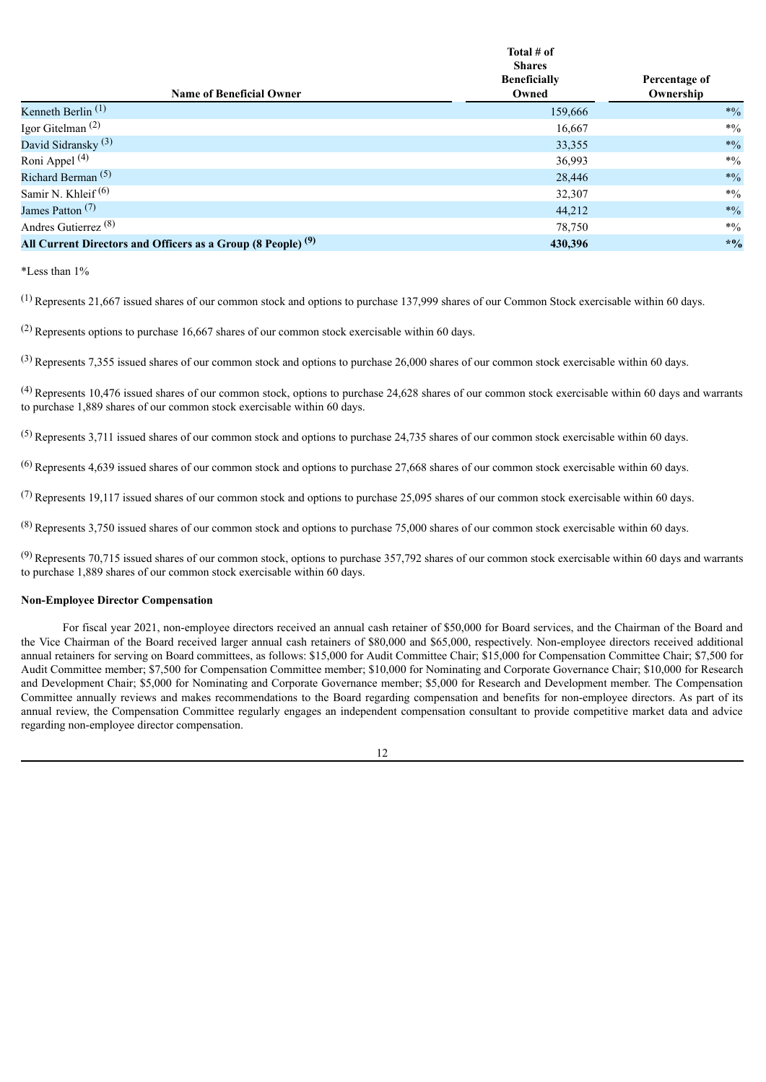| <b>Name of Beneficial Owner</b>                                         | Total # of<br><b>Shares</b><br><b>Beneficially</b><br>Owned | Percentage of<br>Ownership |
|-------------------------------------------------------------------------|-------------------------------------------------------------|----------------------------|
| Kenneth Berlin $(1)$                                                    | 159,666                                                     | $*9/0$                     |
| Igor Gitelman $(2)$                                                     | 16,667                                                      | $*0/0$                     |
| David Sidransky <sup>(3)</sup>                                          | 33,355                                                      | $*0/0$                     |
| Roni Appel <sup>(4)</sup>                                               | 36,993                                                      | $*0/0$                     |
| Richard Berman <sup>(5)</sup>                                           | 28,446                                                      | $*9/0$                     |
| Samir N. Khleif <sup>(6)</sup>                                          | 32,307                                                      | $*0/0$                     |
| James Patton <sup>(7)</sup>                                             | 44,212                                                      | $*9/0$                     |
| Andres Gutierrez <sup>(8)</sup>                                         | 78,750                                                      | $*0/0$                     |
| All Current Directors and Officers as a Group (8 People) <sup>(9)</sup> | 430.396                                                     | $*9/0$                     |

\*Less than 1%

 $<sup>(1)</sup>$  Represents 21,667 issued shares of our common stock and options to purchase 137,999 shares of our Common Stock exercisable within 60 days.</sup>

(2) Represents options to purchase 16,667 shares of our common stock exercisable within 60 days.

 $^{(3)}$  Represents 7,355 issued shares of our common stock and options to purchase 26,000 shares of our common stock exercisable within 60 days.

(4) Represents 10,476 issued shares of our common stock, options to purchase 24,628 shares of our common stock exercisable within 60 days and warrants to purchase 1,889 shares of our common stock exercisable within 60 days.

 $<sup>(5)</sup>$  Represents 3,711 issued shares of our common stock and options to purchase 24,735 shares of our common stock exercisable within 60 days.</sup>

 $^{(6)}$  Represents 4,639 issued shares of our common stock and options to purchase 27,668 shares of our common stock exercisable within 60 days.

 $(7)$  Represents 19,117 issued shares of our common stock and options to purchase 25,095 shares of our common stock exercisable within 60 days.

 $(8)$  Represents 3,750 issued shares of our common stock and options to purchase 75,000 shares of our common stock exercisable within 60 days.

 $^{(9)}$  Represents 70,715 issued shares of our common stock, options to purchase 357,792 shares of our common stock exercisable within 60 days and warrants to purchase 1,889 shares of our common stock exercisable within 60 days.

# **Non-Employee Director Compensation**

For fiscal year 2021, non-employee directors received an annual cash retainer of \$50,000 for Board services, and the Chairman of the Board and the Vice Chairman of the Board received larger annual cash retainers of \$80,000 and \$65,000, respectively. Non-employee directors received additional annual retainers for serving on Board committees, as follows: \$15,000 for Audit Committee Chair; \$15,000 for Compensation Committee Chair; \$7,500 for Audit Committee member; \$7,500 for Compensation Committee member; \$10,000 for Nominating and Corporate Governance Chair; \$10,000 for Research and Development Chair; \$5,000 for Nominating and Corporate Governance member; \$5,000 for Research and Development member. The Compensation Committee annually reviews and makes recommendations to the Board regarding compensation and benefits for non-employee directors. As part of its annual review, the Compensation Committee regularly engages an independent compensation consultant to provide competitive market data and advice regarding non-employee director compensation.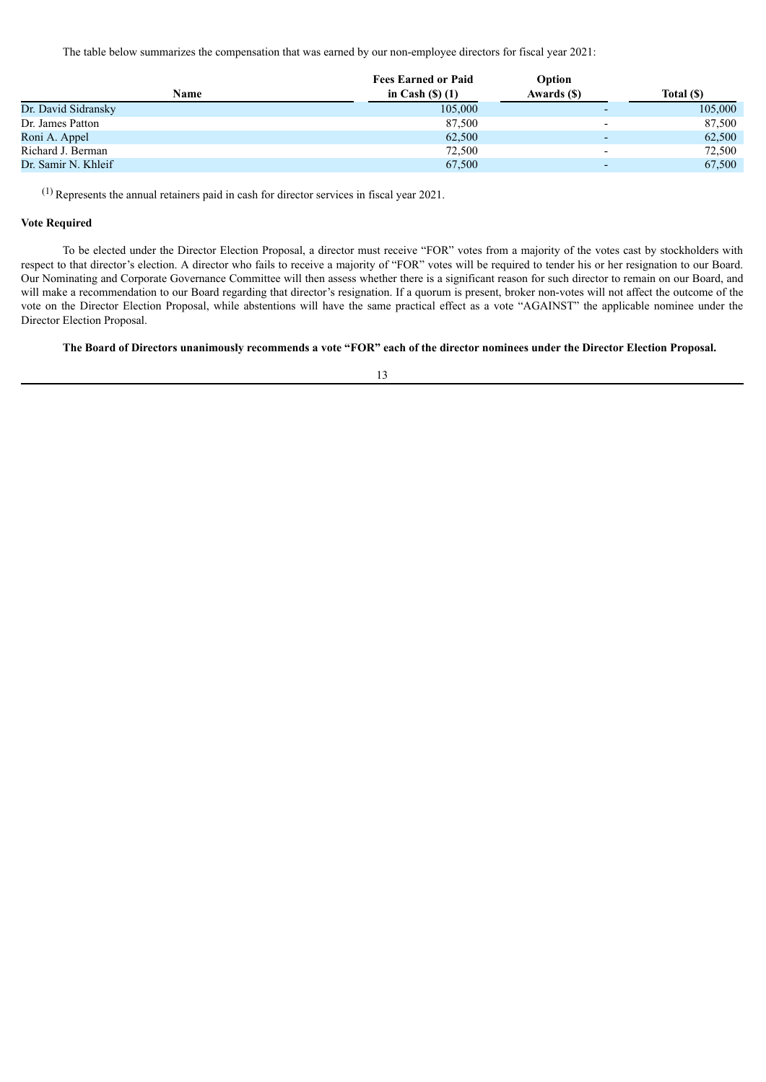The table below summarizes the compensation that was earned by our non-employee directors for fiscal year 2021:

| <b>Name</b>         | <b>Fees Earned or Paid</b> | Option                   |            |
|---------------------|----------------------------|--------------------------|------------|
|                     | in Cash $(S)$ $(1)$        | Awards (\$)              | Total (\$) |
| Dr. David Sidransky | 105,000                    | $\overline{\phantom{0}}$ | 105,000    |
| Dr. James Patton    | 87,500                     | $\overline{\phantom{0}}$ | 87,500     |
| Roni A. Appel       | 62,500                     |                          | 62,500     |
| Richard J. Berman   | 72,500                     | $\overline{\phantom{0}}$ | 72,500     |
| Dr. Samir N. Khleif | 67,500                     |                          | 67,500     |

(1) Represents the annual retainers paid in cash for director services in fiscal year 2021.

# **Vote Required**

To be elected under the Director Election Proposal, a director must receive "FOR" votes from a majority of the votes cast by stockholders with respect to that director's election. A director who fails to receive a majority of "FOR" votes will be required to tender his or her resignation to our Board. Our Nominating and Corporate Governance Committee will then assess whether there is a significant reason for such director to remain on our Board, and will make a recommendation to our Board regarding that director's resignation. If a quorum is present, broker non-votes will not affect the outcome of the vote on the Director Election Proposal, while abstentions will have the same practical effect as a vote "AGAINST" the applicable nominee under the Director Election Proposal.

# The Board of Directors unanimously recommends a vote "FOR" each of the director nominees under the Director Election Proposal.

13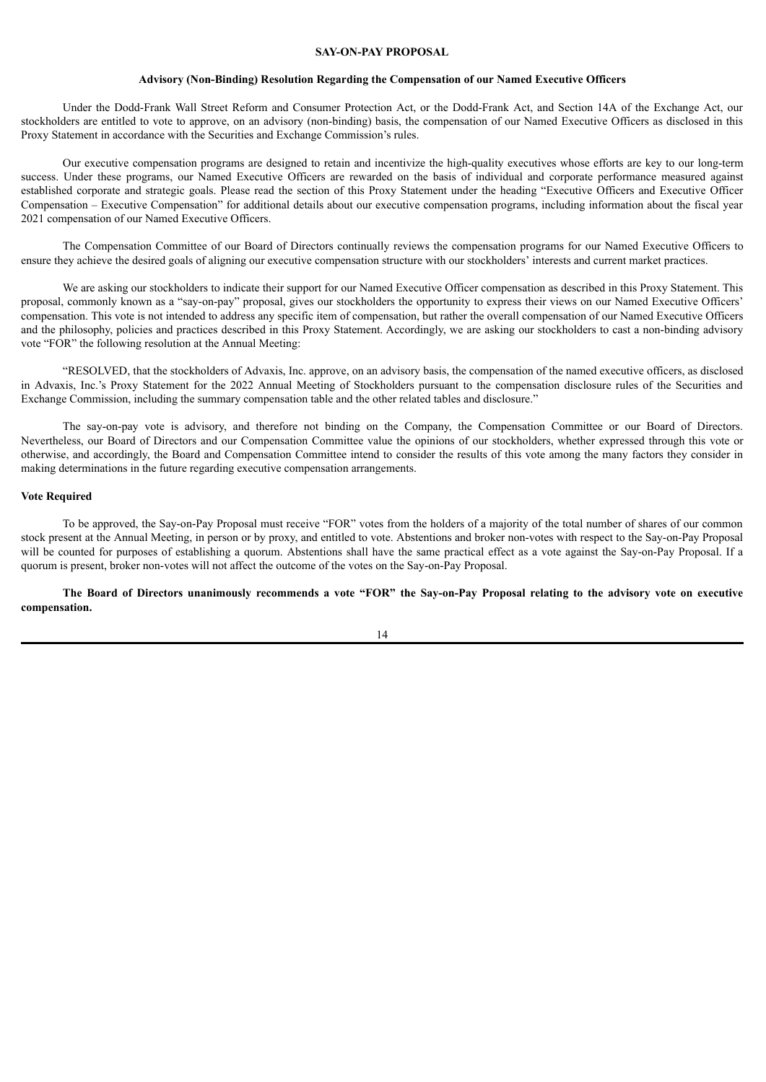# **SAY-ON-PAY PROPOSAL**

#### **Advisory (Non-Binding) Resolution Regarding the Compensation of our Named Executive Officers**

<span id="page-16-0"></span>Under the Dodd-Frank Wall Street Reform and Consumer Protection Act, or the Dodd-Frank Act, and Section 14A of the Exchange Act, our stockholders are entitled to vote to approve, on an advisory (non-binding) basis, the compensation of our Named Executive Officers as disclosed in this Proxy Statement in accordance with the Securities and Exchange Commission's rules.

Our executive compensation programs are designed to retain and incentivize the high-quality executives whose efforts are key to our long-term success. Under these programs, our Named Executive Officers are rewarded on the basis of individual and corporate performance measured against established corporate and strategic goals. Please read the section of this Proxy Statement under the heading "Executive Officers and Executive Officer Compensation – Executive Compensation" for additional details about our executive compensation programs, including information about the fiscal year 2021 compensation of our Named Executive Officers.

The Compensation Committee of our Board of Directors continually reviews the compensation programs for our Named Executive Officers to ensure they achieve the desired goals of aligning our executive compensation structure with our stockholders' interests and current market practices.

We are asking our stockholders to indicate their support for our Named Executive Officer compensation as described in this Proxy Statement. This proposal, commonly known as a "say-on-pay" proposal, gives our stockholders the opportunity to express their views on our Named Executive Officers' compensation. This vote is not intended to address any specific item of compensation, but rather the overall compensation of our Named Executive Officers and the philosophy, policies and practices described in this Proxy Statement. Accordingly, we are asking our stockholders to cast a non-binding advisory vote "FOR" the following resolution at the Annual Meeting:

"RESOLVED, that the stockholders of Advaxis, Inc. approve, on an advisory basis, the compensation of the named executive officers, as disclosed in Advaxis, Inc.'s Proxy Statement for the 2022 Annual Meeting of Stockholders pursuant to the compensation disclosure rules of the Securities and Exchange Commission, including the summary compensation table and the other related tables and disclosure."

The say-on-pay vote is advisory, and therefore not binding on the Company, the Compensation Committee or our Board of Directors. Nevertheless, our Board of Directors and our Compensation Committee value the opinions of our stockholders, whether expressed through this vote or otherwise, and accordingly, the Board and Compensation Committee intend to consider the results of this vote among the many factors they consider in making determinations in the future regarding executive compensation arrangements.

#### **Vote Required**

To be approved, the Say-on-Pay Proposal must receive "FOR" votes from the holders of a majority of the total number of shares of our common stock present at the Annual Meeting, in person or by proxy, and entitled to vote. Abstentions and broker non-votes with respect to the Say-on-Pay Proposal will be counted for purposes of establishing a quorum. Abstentions shall have the same practical effect as a vote against the Say-on-Pay Proposal. If a quorum is present, broker non-votes will not affect the outcome of the votes on the Say-on-Pay Proposal.

The Board of Directors unanimously recommends a vote "FOR" the Say-on-Pay Proposal relating to the advisory vote on executive **compensation.**

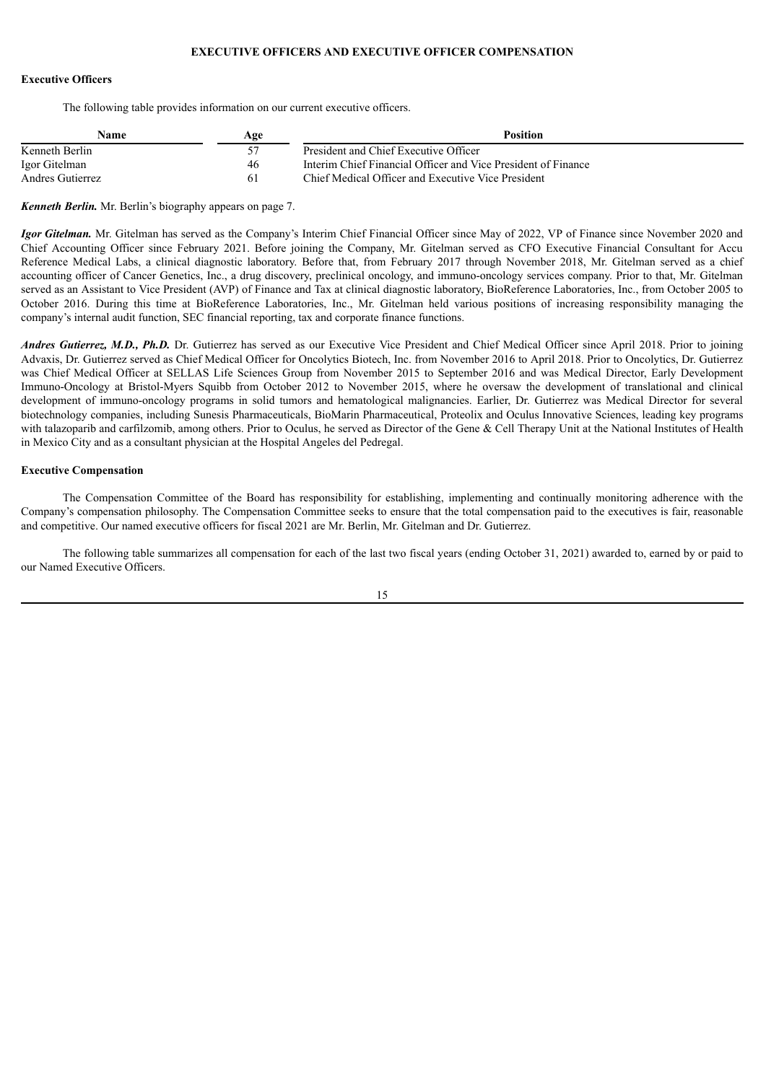# **EXECUTIVE OFFICERS AND EXECUTIVE OFFICER COMPENSATION**

# <span id="page-17-0"></span>**Executive Officers**

The following table provides information on our current executive officers.

| Name             | Age | Position                                                      |
|------------------|-----|---------------------------------------------------------------|
| Kenneth Berlin   |     | President and Chief Executive Officer                         |
| Igor Gitelman    | 46  | Interim Chief Financial Officer and Vice President of Finance |
| Andres Gutierrez |     | Chief Medical Officer and Executive Vice President            |

*Kenneth Berlin.* Mr. Berlin's biography appears on page 7.

*Igor Gitelman.* Mr. Gitelman has served as the Company's Interim Chief Financial Officer since May of 2022, VP of Finance since November 2020 and Chief Accounting Officer since February 2021. Before joining the Company, Mr. Gitelman served as CFO Executive Financial Consultant for Accu Reference Medical Labs, a clinical diagnostic laboratory. Before that, from February 2017 through November 2018, Mr. Gitelman served as a chief accounting officer of Cancer Genetics, Inc., a drug discovery, preclinical oncology, and immuno-oncology services company. Prior to that, Mr. Gitelman served as an Assistant to Vice President (AVP) of Finance and Tax at clinical diagnostic laboratory, BioReference Laboratories, Inc., from October 2005 to October 2016. During this time at BioReference Laboratories, Inc., Mr. Gitelman held various positions of increasing responsibility managing the company's internal audit function, SEC financial reporting, tax and corporate finance functions.

*Andres Gutierrez, M.D., Ph.D.* Dr. Gutierrez has served as our Executive Vice President and Chief Medical Officer since April 2018. Prior to joining Advaxis, Dr. Gutierrez served as Chief Medical Officer for Oncolytics Biotech, Inc. from November 2016 to April 2018. Prior to Oncolytics, Dr. Gutierrez was Chief Medical Officer at SELLAS Life Sciences Group from November 2015 to September 2016 and was Medical Director, Early Development Immuno-Oncology at Bristol-Myers Squibb from October 2012 to November 2015, where he oversaw the development of translational and clinical development of immuno-oncology programs in solid tumors and hematological malignancies. Earlier, Dr. Gutierrez was Medical Director for several biotechnology companies, including Sunesis Pharmaceuticals, BioMarin Pharmaceutical, Proteolix and Oculus Innovative Sciences, leading key programs with talazoparib and carfilzomib, among others. Prior to Oculus, he served as Director of the Gene & Cell Therapy Unit at the National Institutes of Health in Mexico City and as a consultant physician at the Hospital Angeles del Pedregal.

#### **Executive Compensation**

The Compensation Committee of the Board has responsibility for establishing, implementing and continually monitoring adherence with the Company's compensation philosophy. The Compensation Committee seeks to ensure that the total compensation paid to the executives is fair, reasonable and competitive. Our named executive officers for fiscal 2021 are Mr. Berlin, Mr. Gitelman and Dr. Gutierrez.

The following table summarizes all compensation for each of the last two fiscal years (ending October 31, 2021) awarded to, earned by or paid to our Named Executive Officers.

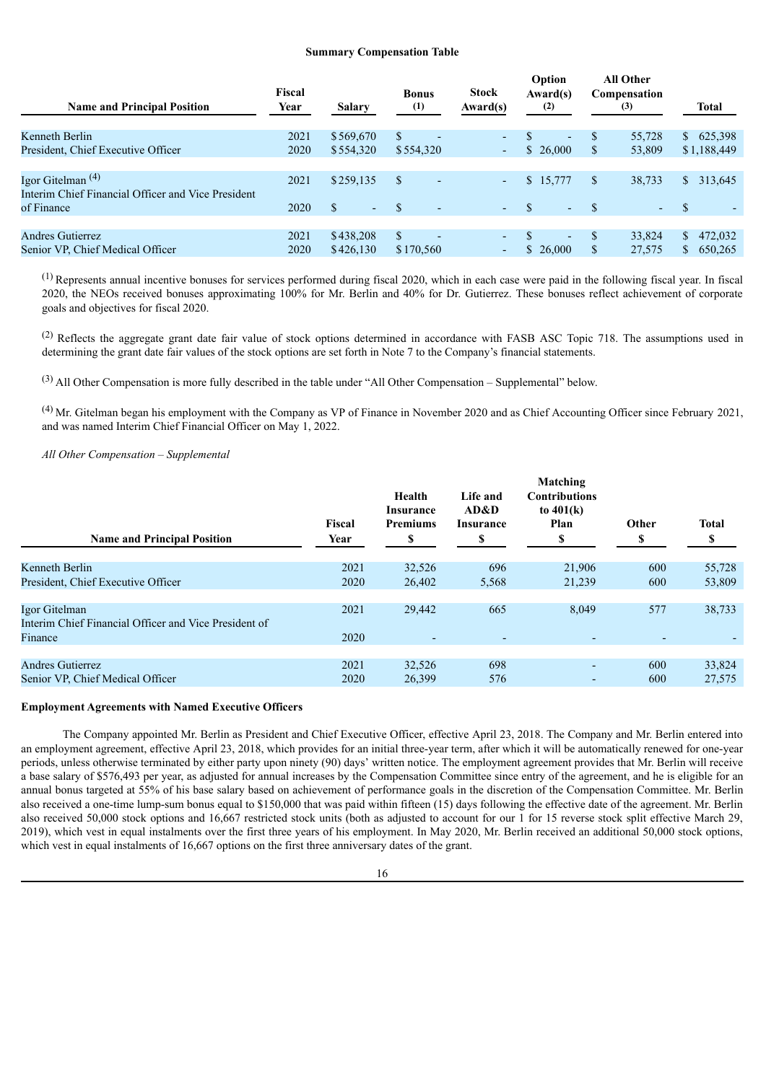#### **Summary Compensation Table**

| <b>Name and Principal Position</b>                 | Fiscal<br>Year | Salary                         | <b>Bonus</b><br>(1)             | <b>Stock</b><br>Award(s) | Option<br>Award(s)<br>(2) | <b>All Other</b><br>Compensation<br>(3) | Total         |
|----------------------------------------------------|----------------|--------------------------------|---------------------------------|--------------------------|---------------------------|-----------------------------------------|---------------|
| Kenneth Berlin                                     | 2021           | \$569,670                      | \$.<br>$\overline{\phantom{0}}$ | $\overline{a}$           | $\overline{a}$            | 55,728<br>S                             | 625,398<br>S. |
| President, Chief Executive Officer                 | 2020           | \$554,320                      | \$554,320                       | ۰.                       | \$26,000                  | S<br>53,809                             | \$1,188,449   |
|                                                    |                |                                |                                 |                          |                           |                                         |               |
| Igor Gitelman <sup><math>(4)</math></sup>          | 2021           | \$259,135                      | S<br>٠                          | $\sim$                   | \$15,777                  | \$<br>38,733                            | 313,645<br>S. |
| Interim Chief Financial Officer and Vice President |                |                                |                                 |                          |                           |                                         |               |
| of Finance                                         | 2020           | $\mathbf S$<br>$\sim$ 10 $\pm$ | <sup>\$</sup><br>٠              | $\sim$ .                 | $\sim$                    | $\sim$                                  | -S            |
|                                                    |                |                                |                                 |                          |                           |                                         |               |
| Andres Gutierrez                                   | 2021           | \$438,208                      | \$.<br>$\overline{a}$           | $\overline{a}$           | $\overline{a}$            | \$.<br>33,824                           | 472,032<br>S. |
| Senior VP, Chief Medical Officer                   | 2020           | \$426,130                      | \$170,560                       | ۰.                       | \$26,000                  | \$<br>27,575                            | 650,265       |

(1) Represents annual incentive bonuses for services performed during fiscal 2020, which in each case were paid in the following fiscal year. In fiscal 2020, the NEOs received bonuses approximating 100% for Mr. Berlin and 40% for Dr. Gutierrez. These bonuses reflect achievement of corporate goals and objectives for fiscal 2020.

(2) Reflects the aggregate grant date fair value of stock options determined in accordance with FASB ASC Topic 718. The assumptions used in determining the grant date fair values of the stock options are set forth in Note 7 to the Company's financial statements.

(3) All Other Compensation is more fully described in the table under "All Other Compensation – Supplemental" below.

(4) Mr. Gitelman began his employment with the Company as VP of Finance in November 2020 and as Chief Accounting Officer since February 2021, and was named Interim Chief Financial Officer on May 1, 2022.

# *All Other Compensation – Supplemental*

| <b>Name and Principal Position</b>                                     | Fiscal<br>Year | Health<br>Insurance<br><b>Premiums</b><br>S | Life and<br>AD&D<br><b>Insurance</b><br>\$ | Matching<br><b>Contributions</b><br>to $401(k)$<br>Plan<br>\$ | Other<br>S | <b>Total</b> |
|------------------------------------------------------------------------|----------------|---------------------------------------------|--------------------------------------------|---------------------------------------------------------------|------------|--------------|
| Kenneth Berlin                                                         | 2021           | 32,526                                      | 696                                        | 21,906                                                        | 600        | 55,728       |
| President, Chief Executive Officer                                     | 2020           | 26,402                                      | 5,568                                      | 21,239                                                        | 600        | 53,809       |
| Igor Gitelman<br>Interim Chief Financial Officer and Vice President of | 2021           | 29,442                                      | 665                                        | 8,049                                                         | 577        | 38,733       |
| Finance                                                                | 2020           |                                             |                                            | $\overline{\phantom{0}}$                                      |            |              |
| <b>Andres Gutierrez</b>                                                | 2021           | 32,526                                      | 698                                        | $\overline{a}$                                                | 600        | 33,824       |
| Senior VP, Chief Medical Officer                                       | 2020           | 26,399                                      | 576                                        | ٠                                                             | 600        | 27,575       |

# **Employment Agreements with Named Executive Officers**

The Company appointed Mr. Berlin as President and Chief Executive Officer, effective April 23, 2018. The Company and Mr. Berlin entered into an employment agreement, effective April 23, 2018, which provides for an initial three-year term, after which it will be automatically renewed for one-year periods, unless otherwise terminated by either party upon ninety (90) days' written notice. The employment agreement provides that Mr. Berlin will receive a base salary of \$576,493 per year, as adjusted for annual increases by the Compensation Committee since entry of the agreement, and he is eligible for an annual bonus targeted at 55% of his base salary based on achievement of performance goals in the discretion of the Compensation Committee. Mr. Berlin also received a one-time lump-sum bonus equal to \$150,000 that was paid within fifteen (15) days following the effective date of the agreement. Mr. Berlin also received 50,000 stock options and 16,667 restricted stock units (both as adjusted to account for our 1 for 15 reverse stock split effective March 29, 2019), which vest in equal instalments over the first three years of his employment. In May 2020, Mr. Berlin received an additional 50,000 stock options, which vest in equal instalments of 16,667 options on the first three anniversary dates of the grant.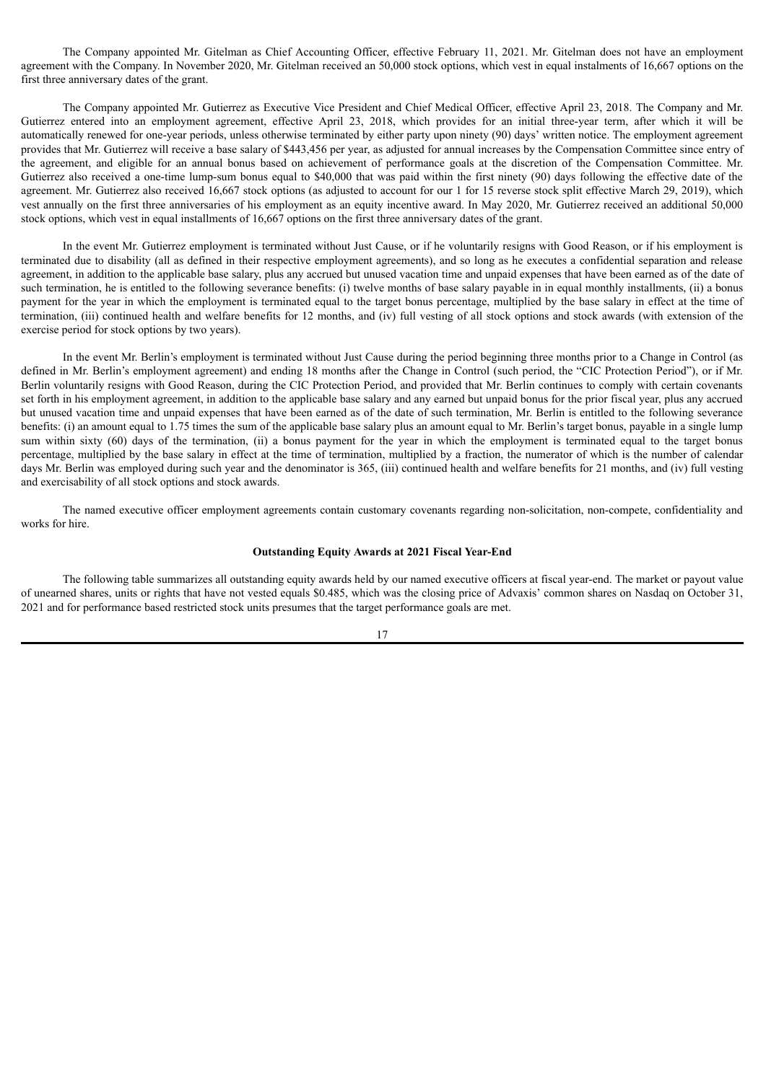The Company appointed Mr. Gitelman as Chief Accounting Officer, effective February 11, 2021. Mr. Gitelman does not have an employment agreement with the Company. In November 2020, Mr. Gitelman received an 50,000 stock options, which vest in equal instalments of 16,667 options on the first three anniversary dates of the grant.

The Company appointed Mr. Gutierrez as Executive Vice President and Chief Medical Officer, effective April 23, 2018. The Company and Mr. Gutierrez entered into an employment agreement, effective April 23, 2018, which provides for an initial three-year term, after which it will be automatically renewed for one-year periods, unless otherwise terminated by either party upon ninety (90) days' written notice. The employment agreement provides that Mr. Gutierrez will receive a base salary of \$443,456 per year, as adjusted for annual increases by the Compensation Committee since entry of the agreement, and eligible for an annual bonus based on achievement of performance goals at the discretion of the Compensation Committee. Mr. Gutierrez also received a one-time lump-sum bonus equal to \$40,000 that was paid within the first ninety (90) days following the effective date of the agreement. Mr. Gutierrez also received 16,667 stock options (as adjusted to account for our 1 for 15 reverse stock split effective March 29, 2019), which vest annually on the first three anniversaries of his employment as an equity incentive award. In May 2020, Mr. Gutierrez received an additional 50,000 stock options, which vest in equal installments of 16,667 options on the first three anniversary dates of the grant.

In the event Mr. Gutierrez employment is terminated without Just Cause, or if he voluntarily resigns with Good Reason, or if his employment is terminated due to disability (all as defined in their respective employment agreements), and so long as he executes a confidential separation and release agreement, in addition to the applicable base salary, plus any accrued but unused vacation time and unpaid expenses that have been earned as of the date of such termination, he is entitled to the following severance benefits: (i) twelve months of base salary payable in in equal monthly installments, (ii) a bonus payment for the year in which the employment is terminated equal to the target bonus percentage, multiplied by the base salary in effect at the time of termination, (iii) continued health and welfare benefits for 12 months, and (iv) full vesting of all stock options and stock awards (with extension of the exercise period for stock options by two years).

In the event Mr. Berlin's employment is terminated without Just Cause during the period beginning three months prior to a Change in Control (as defined in Mr. Berlin's employment agreement) and ending 18 months after the Change in Control (such period, the "CIC Protection Period"), or if Mr. Berlin voluntarily resigns with Good Reason, during the CIC Protection Period, and provided that Mr. Berlin continues to comply with certain covenants set forth in his employment agreement, in addition to the applicable base salary and any earned but unpaid bonus for the prior fiscal year, plus any accrued but unused vacation time and unpaid expenses that have been earned as of the date of such termination, Mr. Berlin is entitled to the following severance benefits: (i) an amount equal to 1.75 times the sum of the applicable base salary plus an amount equal to Mr. Berlin's target bonus, payable in a single lump sum within sixty (60) days of the termination, (ii) a bonus payment for the year in which the employment is terminated equal to the target bonus percentage, multiplied by the base salary in effect at the time of termination, multiplied by a fraction, the numerator of which is the number of calendar days Mr. Berlin was employed during such year and the denominator is 365, (iii) continued health and welfare benefits for 21 months, and (iv) full vesting and exercisability of all stock options and stock awards.

The named executive officer employment agreements contain customary covenants regarding non-solicitation, non-compete, confidentiality and works for hire.

#### **Outstanding Equity Awards at 2021 Fiscal Year-End**

The following table summarizes all outstanding equity awards held by our named executive officers at fiscal year-end. The market or payout value of unearned shares, units or rights that have not vested equals \$0.485, which was the closing price of Advaxis' common shares on Nasdaq on October 31, 2021 and for performance based restricted stock units presumes that the target performance goals are met.

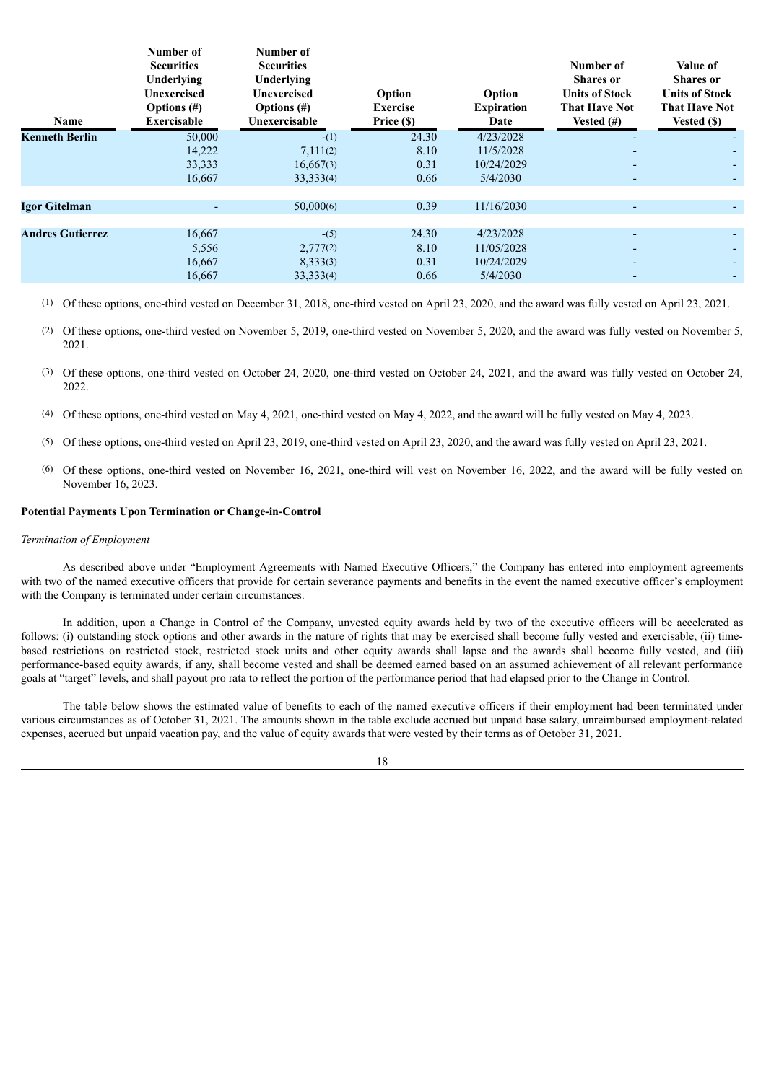| Name                    | Number of<br><b>Securities</b><br>Underlying<br>Unexercised<br>Options $(\#)$<br><b>Exercisable</b> | Number of<br><b>Securities</b><br>Underlying<br>Unexercised<br>Options $(\#)$<br>Unexercisable | Option<br><b>Exercise</b><br>Price (\$) | Option<br><b>Expiration</b><br>Date               | Number of<br><b>Shares</b> or<br><b>Units of Stock</b><br><b>That Have Not</b><br>Vested $(\#)$ | Value of<br><b>Shares</b> or<br><b>Units of Stock</b><br><b>That Have Not</b><br>Vested (\$) |
|-------------------------|-----------------------------------------------------------------------------------------------------|------------------------------------------------------------------------------------------------|-----------------------------------------|---------------------------------------------------|-------------------------------------------------------------------------------------------------|----------------------------------------------------------------------------------------------|
| <b>Kenneth Berlin</b>   | 50,000<br>14,222<br>33,333<br>16,667                                                                | $-(1)$<br>7,111(2)<br>16,667(3)<br>33,333(4)                                                   | 24.30<br>8.10<br>0.31<br>0.66           | 4/23/2028<br>11/5/2028<br>10/24/2029<br>5/4/2030  |                                                                                                 | ۰.                                                                                           |
| <b>Igor Gitelman</b>    | ٠                                                                                                   | 50,000(6)                                                                                      | 0.39                                    | 11/16/2030                                        |                                                                                                 |                                                                                              |
| <b>Andres Gutierrez</b> | 16,667<br>5,556<br>16,667<br>16,667                                                                 | $-(5)$<br>2,777(2)<br>8,333(3)<br>33, 333(4)                                                   | 24.30<br>8.10<br>0.31<br>0.66           | 4/23/2028<br>11/05/2028<br>10/24/2029<br>5/4/2030 | -                                                                                               | ۰.<br>۰.                                                                                     |

(1) Of these options, one-third vested on December 31, 2018, one-third vested on April 23, 2020, and the award was fully vested on April 23, 2021.

(2) Of these options, one-third vested on November 5, 2019, one-third vested on November 5, 2020, and the award was fully vested on November 5, 2021.

- (3) Of these options, one-third vested on October 24, 2020, one-third vested on October 24, 2021, and the award was fully vested on October 24, 2022.
- (4) Of these options, one-third vested on May 4, 2021, one-third vested on May 4, 2022, and the award will be fully vested on May 4, 2023.
- (5) Of these options, one-third vested on April 23, 2019, one-third vested on April 23, 2020, and the award was fully vested on April 23, 2021.
- (6) Of these options, one-third vested on November 16, 2021, one-third will vest on November 16, 2022, and the award will be fully vested on November 16, 2023.

#### **Potential Payments Upon Termination or Change-in-Control**

#### *Termination of Employment*

As described above under "Employment Agreements with Named Executive Officers," the Company has entered into employment agreements with two of the named executive officers that provide for certain severance payments and benefits in the event the named executive officer's employment with the Company is terminated under certain circumstances.

In addition, upon a Change in Control of the Company, unvested equity awards held by two of the executive officers will be accelerated as follows: (i) outstanding stock options and other awards in the nature of rights that may be exercised shall become fully vested and exercisable, (ii) timebased restrictions on restricted stock, restricted stock units and other equity awards shall lapse and the awards shall become fully vested, and (iii) performance-based equity awards, if any, shall become vested and shall be deemed earned based on an assumed achievement of all relevant performance goals at "target" levels, and shall payout pro rata to reflect the portion of the performance period that had elapsed prior to the Change in Control.

The table below shows the estimated value of benefits to each of the named executive officers if their employment had been terminated under various circumstances as of October 31, 2021. The amounts shown in the table exclude accrued but unpaid base salary, unreimbursed employment-related expenses, accrued but unpaid vacation pay, and the value of equity awards that were vested by their terms as of October 31, 2021.

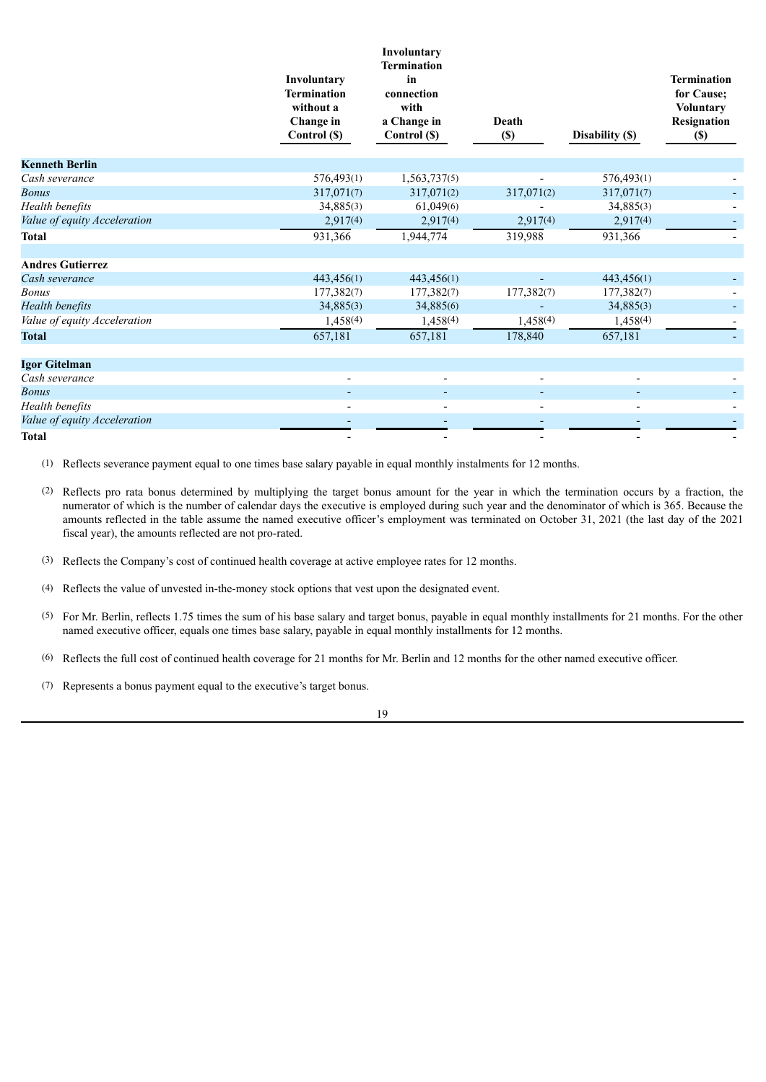|                              | Involuntary<br><b>Termination</b><br>without a<br>Change in<br>Control (\$) | Involuntary<br><b>Termination</b><br>in<br>connection<br>with<br>a Change in<br>Control (\$) | Death<br>$(\$)$ | Disability (\$) | <b>Termination</b><br>for Cause;<br><b>Voluntary</b><br>Resignation<br>$(\$)$ |
|------------------------------|-----------------------------------------------------------------------------|----------------------------------------------------------------------------------------------|-----------------|-----------------|-------------------------------------------------------------------------------|
| <b>Kenneth Berlin</b>        |                                                                             |                                                                                              |                 |                 |                                                                               |
| Cash severance               | 576,493(1)                                                                  | 1,563,737(5)                                                                                 |                 | 576,493(1)      |                                                                               |
| <b>Bonus</b>                 | 317,071(7)                                                                  | 317,071(2)                                                                                   | 317,071(2)      | 317,071(7)      |                                                                               |
| Health benefits              | 34,885(3)                                                                   | 61,049(6)                                                                                    |                 | 34,885(3)       |                                                                               |
| Value of equity Acceleration | 2,917(4)                                                                    | 2,917(4)                                                                                     | 2,917(4)        | 2,917(4)        |                                                                               |
| <b>Total</b>                 | 931,366                                                                     | 1,944,774                                                                                    | 319,988         | 931,366         |                                                                               |
|                              |                                                                             |                                                                                              |                 |                 |                                                                               |
| <b>Andres Gutierrez</b>      |                                                                             |                                                                                              |                 |                 |                                                                               |
| Cash severance               | 443,456(1)                                                                  | 443,456(1)                                                                                   |                 | 443,456(1)      |                                                                               |
| <b>Bonus</b>                 | 177,382(7)                                                                  | 177,382(7)                                                                                   | 177,382(7)      | 177,382(7)      |                                                                               |
| <b>Health benefits</b>       | 34,885(3)                                                                   | 34,885(6)                                                                                    |                 | 34,885(3)       |                                                                               |
| Value of equity Acceleration | 1,458(4)                                                                    | 1,458(4)                                                                                     | 1,458(4)        | 1,458(4)        |                                                                               |
| <b>Total</b>                 | 657,181                                                                     | 657,181                                                                                      | 178,840         | 657,181         |                                                                               |
| Igor Gitelman                |                                                                             |                                                                                              |                 |                 |                                                                               |
| Cash severance               |                                                                             |                                                                                              |                 |                 |                                                                               |
| <b>Bonus</b>                 |                                                                             |                                                                                              |                 |                 |                                                                               |
| Health benefits              |                                                                             |                                                                                              |                 |                 |                                                                               |
| Value of equity Acceleration |                                                                             |                                                                                              |                 |                 |                                                                               |
| <b>Total</b>                 |                                                                             |                                                                                              |                 |                 |                                                                               |

(1) Reflects severance payment equal to one times base salary payable in equal monthly instalments for 12 months.

(2) Reflects pro rata bonus determined by multiplying the target bonus amount for the year in which the termination occurs by a fraction, the numerator of which is the number of calendar days the executive is employed during such year and the denominator of which is 365. Because the amounts reflected in the table assume the named executive officer's employment was terminated on October 31, 2021 (the last day of the 2021 fiscal year), the amounts reflected are not pro-rated.

(5) For Mr. Berlin, reflects 1.75 times the sum of his base salary and target bonus, payable in equal monthly installments for 21 months. For the other named executive officer, equals one times base salary, payable in equal monthly installments for 12 months.

(6) Reflects the full cost of continued health coverage for 21 months for Mr. Berlin and 12 months for the other named executive officer.

(7) Represents a bonus payment equal to the executive's target bonus.

19

<sup>(3)</sup> Reflects the Company's cost of continued health coverage at active employee rates for 12 months.

<sup>(4)</sup> Reflects the value of unvested in-the-money stock options that vest upon the designated event.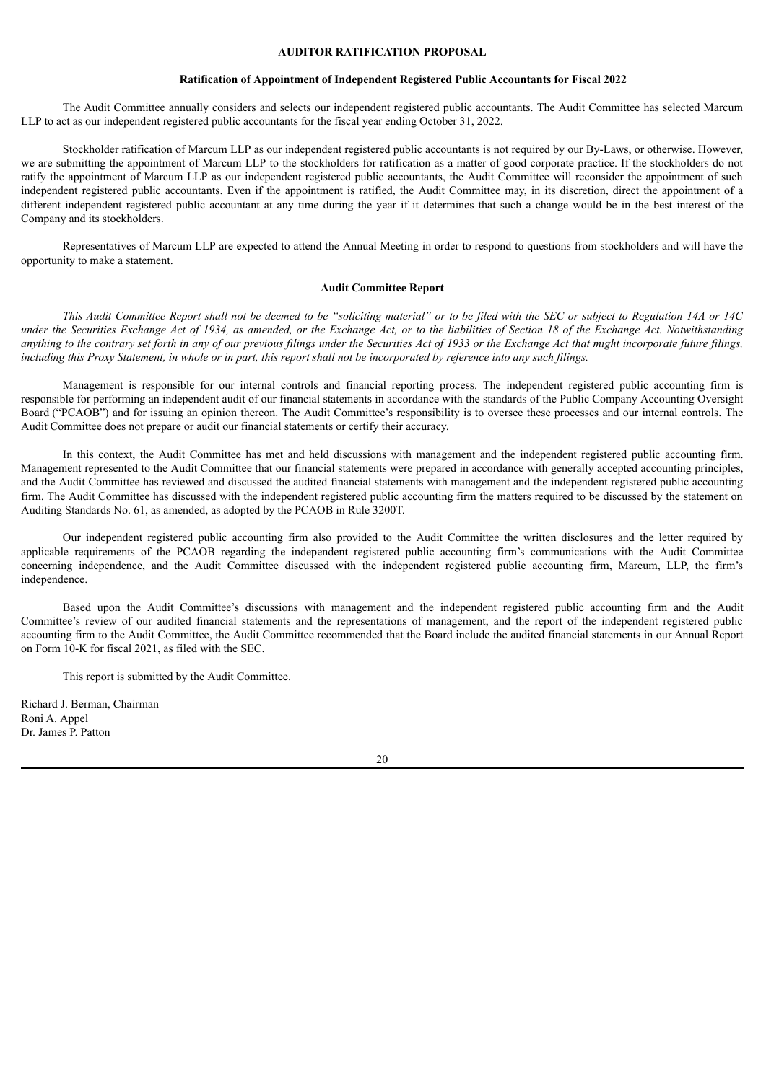# **AUDITOR RATIFICATION PROPOSAL**

#### **Ratification of Appointment of Independent Registered Public Accountants for Fiscal 2022**

<span id="page-22-0"></span>The Audit Committee annually considers and selects our independent registered public accountants. The Audit Committee has selected Marcum LLP to act as our independent registered public accountants for the fiscal year ending October 31, 2022.

Stockholder ratification of Marcum LLP as our independent registered public accountants is not required by our By-Laws, or otherwise. However, we are submitting the appointment of Marcum LLP to the stockholders for ratification as a matter of good corporate practice. If the stockholders do not ratify the appointment of Marcum LLP as our independent registered public accountants, the Audit Committee will reconsider the appointment of such independent registered public accountants. Even if the appointment is ratified, the Audit Committee may, in its discretion, direct the appointment of a different independent registered public accountant at any time during the year if it determines that such a change would be in the best interest of the Company and its stockholders.

Representatives of Marcum LLP are expected to attend the Annual Meeting in order to respond to questions from stockholders and will have the opportunity to make a statement.

#### **Audit Committee Report**

This Audit Committee Report shall not be deemed to be "soliciting material" or to be filed with the SEC or subject to Regulation 14A or 14C under the Securities Exchange Act of 1934, as amended, or the Exchange Act, or to the liabilities of Section 18 of the Exchange Act. Notwithstanding anything to the contrary set forth in any of our previous filings under the Securities Act of 1933 or the Exchange Act that might incorporate future filings, including this Proxy Statement, in whole or in part, this report shall not be incorporated by reference into any such filings.

Management is responsible for our internal controls and financial reporting process. The independent registered public accounting firm is responsible for performing an independent audit of our financial statements in accordance with the standards of the Public Company Accounting Oversight Board ("PCAOB") and for issuing an opinion thereon. The Audit Committee's responsibility is to oversee these processes and our internal controls. The Audit Committee does not prepare or audit our financial statements or certify their accuracy.

In this context, the Audit Committee has met and held discussions with management and the independent registered public accounting firm. Management represented to the Audit Committee that our financial statements were prepared in accordance with generally accepted accounting principles, and the Audit Committee has reviewed and discussed the audited financial statements with management and the independent registered public accounting firm. The Audit Committee has discussed with the independent registered public accounting firm the matters required to be discussed by the statement on Auditing Standards No. 61, as amended, as adopted by the PCAOB in Rule 3200T.

Our independent registered public accounting firm also provided to the Audit Committee the written disclosures and the letter required by applicable requirements of the PCAOB regarding the independent registered public accounting firm's communications with the Audit Committee concerning independence, and the Audit Committee discussed with the independent registered public accounting firm, Marcum, LLP, the firm's independence.

Based upon the Audit Committee's discussions with management and the independent registered public accounting firm and the Audit Committee's review of our audited financial statements and the representations of management, and the report of the independent registered public accounting firm to the Audit Committee, the Audit Committee recommended that the Board include the audited financial statements in our Annual Report on Form 10-K for fiscal 2021, as filed with the SEC.

This report is submitted by the Audit Committee.

Richard J. Berman, Chairman Roni A. Appel Dr. James P. Patton

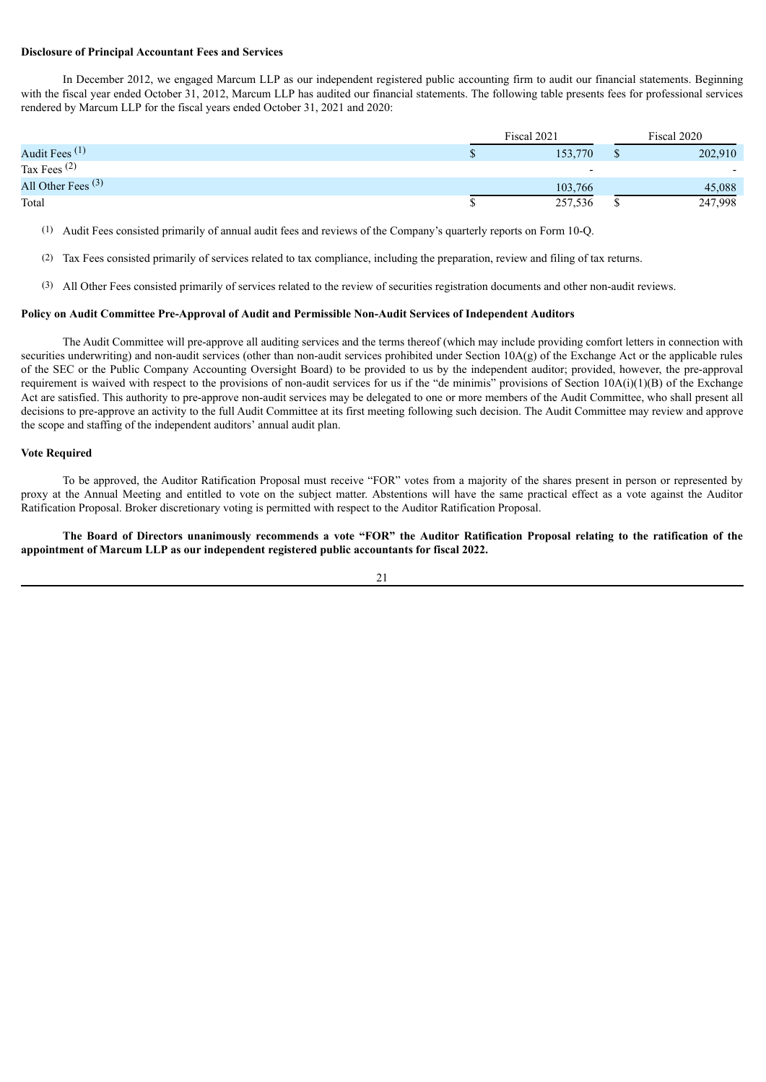#### **Disclosure of Principal Accountant Fees and Services**

In December 2012, we engaged Marcum LLP as our independent registered public accounting firm to audit our financial statements. Beginning with the fiscal year ended October 31, 2012, Marcum LLP has audited our financial statements. The following table presents fees for professional services rendered by Marcum LLP for the fiscal years ended October 31, 2021 and 2020:

|                      | Fiscal 2021 |   | Fiscal 2020              |
|----------------------|-------------|---|--------------------------|
| Audit Fees $(1)$     | 153,770     |   | 202,910                  |
| Tax Fees $(2)$       |             |   | $\overline{\phantom{0}}$ |
| All Other Fees $(3)$ | 103,766     |   | 45,088                   |
| Total                | 257,536     | æ | 247,998                  |

(1) Audit Fees consisted primarily of annual audit fees and reviews of the Company's quarterly reports on Form 10-Q.

- (2) Tax Fees consisted primarily of services related to tax compliance, including the preparation, review and filing of tax returns.
- (3) All Other Fees consisted primarily of services related to the review of securities registration documents and other non-audit reviews.

### **Policy on Audit Committee Pre-Approval of Audit and Permissible Non-Audit Services of Independent Auditors**

The Audit Committee will pre-approve all auditing services and the terms thereof (which may include providing comfort letters in connection with securities underwriting) and non-audit services (other than non-audit services prohibited under Section 10A(g) of the Exchange Act or the applicable rules of the SEC or the Public Company Accounting Oversight Board) to be provided to us by the independent auditor; provided, however, the pre-approval requirement is waived with respect to the provisions of non-audit services for us if the "de minimis" provisions of Section 10A(i)(1)(B) of the Exchange Act are satisfied. This authority to pre-approve non-audit services may be delegated to one or more members of the Audit Committee, who shall present all decisions to pre-approve an activity to the full Audit Committee at its first meeting following such decision. The Audit Committee may review and approve the scope and staffing of the independent auditors' annual audit plan.

#### **Vote Required**

To be approved, the Auditor Ratification Proposal must receive "FOR" votes from a majority of the shares present in person or represented by proxy at the Annual Meeting and entitled to vote on the subject matter. Abstentions will have the same practical effect as a vote against the Auditor Ratification Proposal. Broker discretionary voting is permitted with respect to the Auditor Ratification Proposal.

The Board of Directors unanimously recommends a vote "FOR" the Auditor Ratification Proposal relating to the ratification of the **appointment of Marcum LLP as our independent registered public accountants for fiscal 2022.**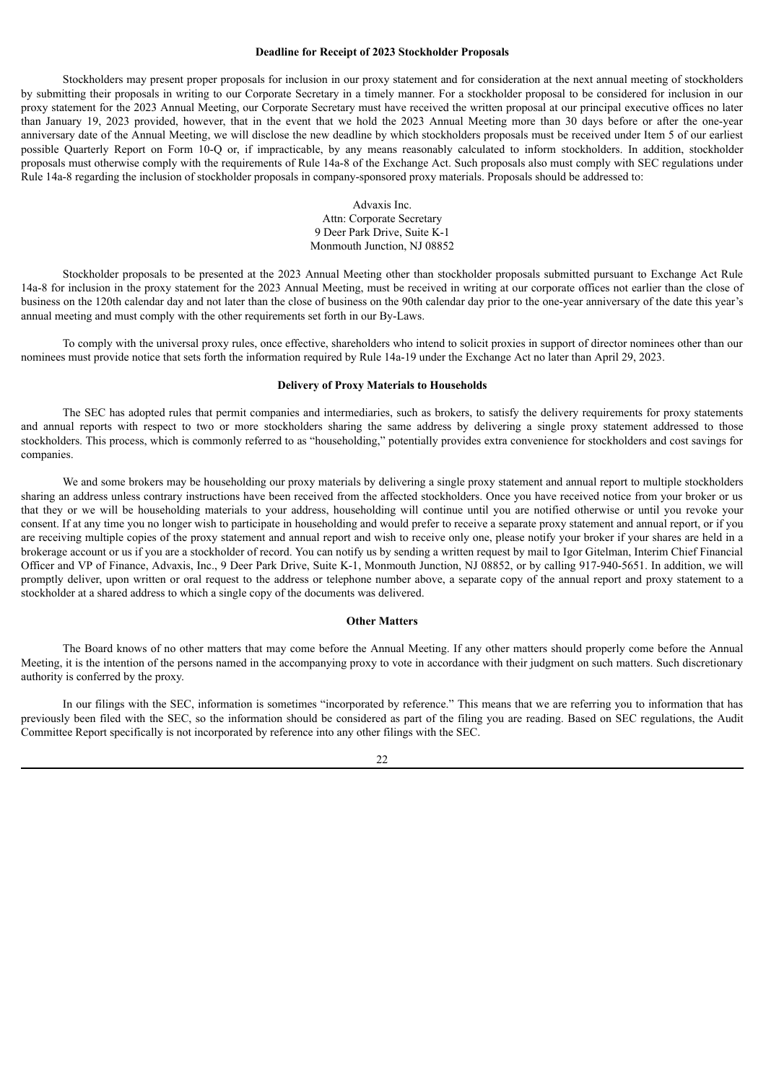# **Deadline for Receipt of 2023 Stockholder Proposals**

Stockholders may present proper proposals for inclusion in our proxy statement and for consideration at the next annual meeting of stockholders by submitting their proposals in writing to our Corporate Secretary in a timely manner. For a stockholder proposal to be considered for inclusion in our proxy statement for the 2023 Annual Meeting, our Corporate Secretary must have received the written proposal at our principal executive offices no later than January 19, 2023 provided, however, that in the event that we hold the 2023 Annual Meeting more than 30 days before or after the one-year anniversary date of the Annual Meeting, we will disclose the new deadline by which stockholders proposals must be received under Item 5 of our earliest possible Quarterly Report on Form 10-Q or, if impracticable, by any means reasonably calculated to inform stockholders. In addition, stockholder proposals must otherwise comply with the requirements of Rule 14a-8 of the Exchange Act. Such proposals also must comply with SEC regulations under Rule 14a-8 regarding the inclusion of stockholder proposals in company-sponsored proxy materials. Proposals should be addressed to:

> Advaxis Inc. Attn: Corporate Secretary 9 Deer Park Drive, Suite K-1 Monmouth Junction, NJ 08852

Stockholder proposals to be presented at the 2023 Annual Meeting other than stockholder proposals submitted pursuant to Exchange Act Rule 14a-8 for inclusion in the proxy statement for the 2023 Annual Meeting, must be received in writing at our corporate offices not earlier than the close of business on the 120th calendar day and not later than the close of business on the 90th calendar day prior to the one-year anniversary of the date this year's annual meeting and must comply with the other requirements set forth in our By-Laws.

To comply with the universal proxy rules, once effective, shareholders who intend to solicit proxies in support of director nominees other than our nominees must provide notice that sets forth the information required by Rule 14a-19 under the Exchange Act no later than April 29, 2023.

#### **Delivery of Proxy Materials to Households**

The SEC has adopted rules that permit companies and intermediaries, such as brokers, to satisfy the delivery requirements for proxy statements and annual reports with respect to two or more stockholders sharing the same address by delivering a single proxy statement addressed to those stockholders. This process, which is commonly referred to as "householding," potentially provides extra convenience for stockholders and cost savings for companies.

We and some brokers may be householding our proxy materials by delivering a single proxy statement and annual report to multiple stockholders sharing an address unless contrary instructions have been received from the affected stockholders. Once you have received notice from your broker or us that they or we will be householding materials to your address, householding will continue until you are notified otherwise or until you revoke your consent. If at any time you no longer wish to participate in householding and would prefer to receive a separate proxy statement and annual report, or if you are receiving multiple copies of the proxy statement and annual report and wish to receive only one, please notify your broker if your shares are held in a brokerage account or us if you are a stockholder of record. You can notify us by sending a written request by mail to Igor Gitelman, Interim Chief Financial Officer and VP of Finance, Advaxis, Inc., 9 Deer Park Drive, Suite K-1, Monmouth Junction, NJ 08852, or by calling 917-940-5651. In addition, we will promptly deliver, upon written or oral request to the address or telephone number above, a separate copy of the annual report and proxy statement to a stockholder at a shared address to which a single copy of the documents was delivered.

#### **Other Matters**

The Board knows of no other matters that may come before the Annual Meeting. If any other matters should properly come before the Annual Meeting, it is the intention of the persons named in the accompanying proxy to vote in accordance with their judgment on such matters. Such discretionary authority is conferred by the proxy.

In our filings with the SEC, information is sometimes "incorporated by reference." This means that we are referring you to information that has previously been filed with the SEC, so the information should be considered as part of the filing you are reading. Based on SEC regulations, the Audit Committee Report specifically is not incorporated by reference into any other filings with the SEC.

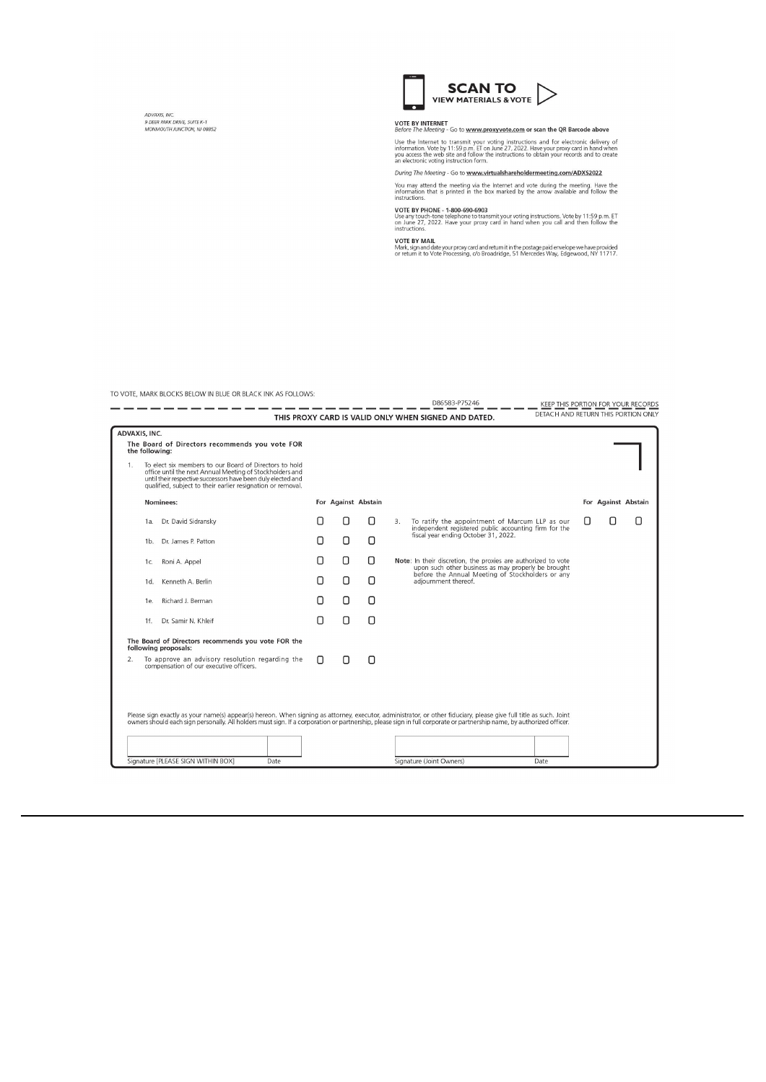ADVAXIS, INC.<br>9 DEER PARK DRIVE, SUITE K-1<br>MONMOUTH JUNCTION, NJ 08852



**VOTE BY INTERNET**<br>Before The Meeting - Go to <u>www.proxyvote.com</u> or scan the QR Barcode above

Use the Internet to transmit your voting instructions and for electronic delivery of information. Vote by 11:59 p.m. ET on June 27, 2022. Have your proxy card in hand when you access the web site and follow the instruction

During The Meeting - Go to www.virtualshareholdermeeting.com/ADXS2022

You may attend the meeting via the Internet and vote during the meeting. Have the information that is printed in the box marked by the arrow available and follow the instructions.

D86583-P75246

VOTE BY PHONE - 1-800-690-6903<br>Use any touch-tone telephone to transmit your voting instructions. Vote by 11:59 p.m. ET<br>on June 27, 2022. Have your proxy card in hand when you call and then follow the<br>instructions.

**VOTE BY MAIL**<br>Mark, sign and date your proxy card and return it in the postage paid envelope we have provided<br>or return it to Vote Processing, *c*/o Broadridge, 51 Mercedes Way, Edgewood, NY 11717.

TO VOTE, MARK BLOCKS BELOW IN BLUE OR BLACK INK AS FOLLOWS:

|               |                |                                                                                                                                                                                                                                                   |   |                     |   |    | D86583-P75246                                                                                                        | KEEP THIS PORTION FOR YOUR RECORDS  |  |                     |
|---------------|----------------|---------------------------------------------------------------------------------------------------------------------------------------------------------------------------------------------------------------------------------------------------|---|---------------------|---|----|----------------------------------------------------------------------------------------------------------------------|-------------------------------------|--|---------------------|
|               |                |                                                                                                                                                                                                                                                   |   |                     |   |    | THIS PROXY CARD IS VALID ONLY WHEN SIGNED AND DATED.                                                                 | DETACH AND RETURN THIS PORTION ONLY |  |                     |
| ADVAXIS, INC. |                |                                                                                                                                                                                                                                                   |   |                     |   |    |                                                                                                                      |                                     |  |                     |
|               | the following: | The Board of Directors recommends you vote FOR                                                                                                                                                                                                    |   |                     |   |    |                                                                                                                      |                                     |  |                     |
| 1.            |                | To elect six members to our Board of Directors to hold<br>office until the next Annual Meeting of Stockholders and<br>until their respective successors have been duly elected and<br>qualified, subject to their earlier resignation or removal. |   |                     |   |    |                                                                                                                      |                                     |  |                     |
|               |                | Nominees:                                                                                                                                                                                                                                         |   | For Against Abstain |   |    |                                                                                                                      |                                     |  | For Against Abstain |
|               | 1a.            | Dr. David Sidransky                                                                                                                                                                                                                               |   | Π                   | Π | 3. | To ratify the appointment of Marcum LLP as our<br>independent registered public accounting firm for the              |                                     |  | Π                   |
|               |                | 1b. Dr. James P. Patton                                                                                                                                                                                                                           | Ω | Ω                   | Ω |    | fiscal year ending October 31, 2022.                                                                                 |                                     |  |                     |
|               | 1c.            | Roni A. Appel                                                                                                                                                                                                                                     | Π | Ο                   | Ω |    | Note: In their discretion, the proxies are authorized to vote<br>upon such other business as may properly be brought |                                     |  |                     |
|               | $1d$ .         | Kenneth A. Berlin                                                                                                                                                                                                                                 | Ο | Ο                   | Ο |    | before the Annual Meeting of Stockholders or any<br>adjournment thereof.                                             |                                     |  |                     |
|               | 1e.            | Richard J. Berman                                                                                                                                                                                                                                 | Π | О                   | О |    |                                                                                                                      |                                     |  |                     |
|               | 1f.            | Dr. Samir N. Khleif                                                                                                                                                                                                                               | Ω | О                   | О |    |                                                                                                                      |                                     |  |                     |
|               |                | The Board of Directors recommends you vote FOR the<br>following proposals:                                                                                                                                                                        |   |                     |   |    |                                                                                                                      |                                     |  |                     |
| 2.            |                | To approve an advisory resolution regarding the<br>compensation of our executive officers.                                                                                                                                                        | n | Π                   | Π |    |                                                                                                                      |                                     |  |                     |
|               |                |                                                                                                                                                                                                                                                   |   |                     |   |    |                                                                                                                      |                                     |  |                     |
|               |                |                                                                                                                                                                                                                                                   |   |                     |   |    |                                                                                                                      |                                     |  |                     |
|               |                | Please sign exactly as your name(s) appear(s) hereon. When signing as attorney, executor, administrator, or other fiduciary, please give full title as such. Joint                                                                                |   |                     |   |    |                                                                                                                      |                                     |  |                     |
|               |                | owners should each sign personally. All holders must sign. If a corporation or partnership, please sign in full corporate or partnership name, by authorized officer.                                                                             |   |                     |   |    |                                                                                                                      |                                     |  |                     |
|               |                |                                                                                                                                                                                                                                                   |   |                     |   |    |                                                                                                                      |                                     |  |                     |
|               |                | Signature [PLEASE SIGN WITHIN BOX]<br>Date                                                                                                                                                                                                        |   |                     |   |    | Signature (Joint Owners)<br>Date                                                                                     |                                     |  |                     |